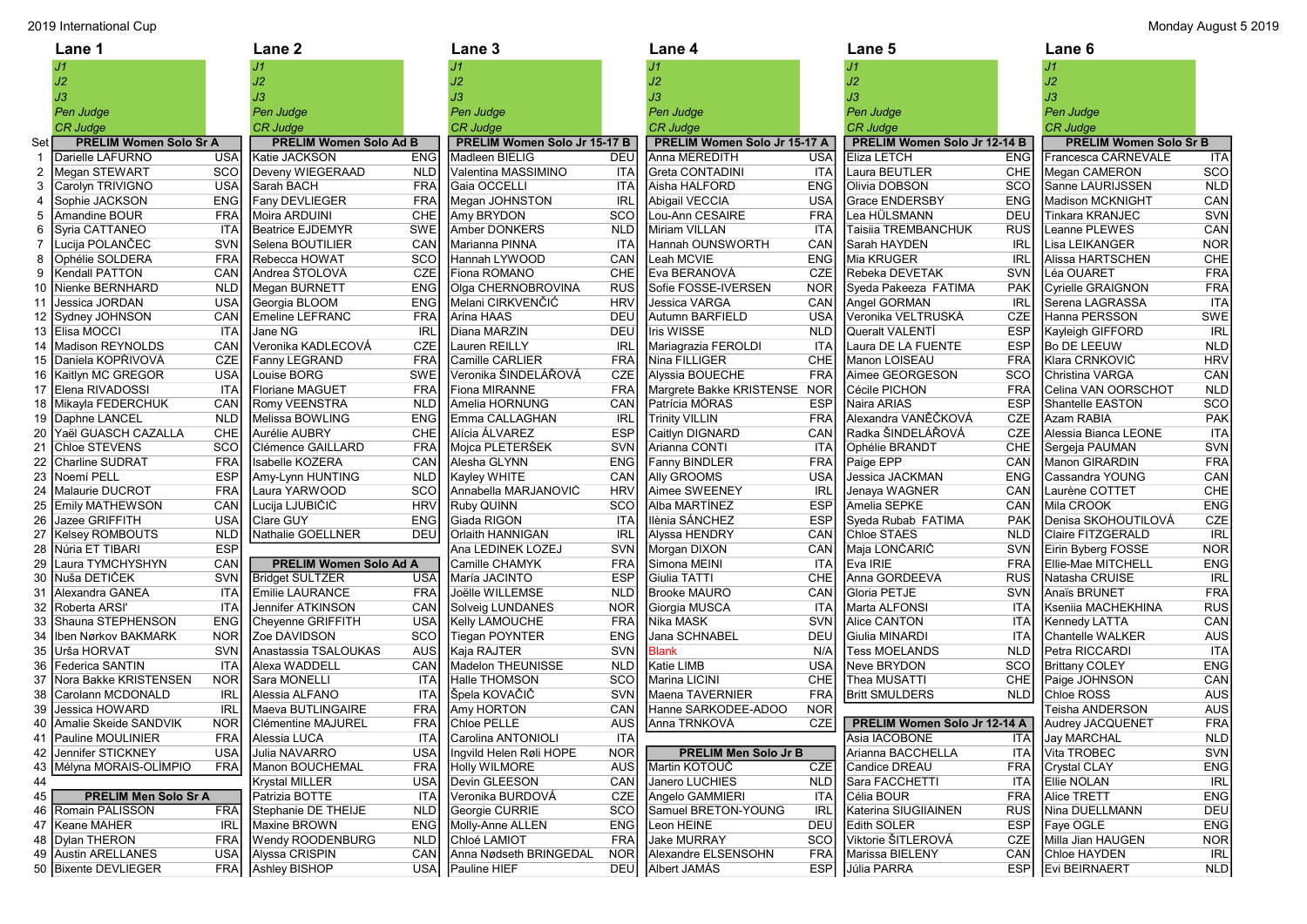|                | 2019 International Cup<br>Monday August 5 2019 |            |                               |            |                              |            |                              |            |                              |                  |                               |            |
|----------------|------------------------------------------------|------------|-------------------------------|------------|------------------------------|------------|------------------------------|------------|------------------------------|------------------|-------------------------------|------------|
|                | Lane 1                                         |            | <b>Lane 2</b>                 |            | Lane 3                       |            | Lane 4                       |            | <b>Lane 5</b>                |                  | Lane 6                        |            |
|                |                                                |            |                               |            |                              |            | J1                           |            |                              |                  | J1                            |            |
|                | J2                                             |            | J2                            |            | J2                           |            | J2                           |            | J2                           |                  | J2                            |            |
|                | J3                                             |            | JЗ                            |            | JЗ                           |            | JЗ                           |            | JЗ                           |                  | JЗ                            |            |
|                | Pen Judge                                      |            | Pen Judge                     |            | Pen Judge                    |            | Pen Judge                    |            | Pen Judge                    |                  | Pen Judge                     |            |
|                | <b>CR Judge</b>                                |            | <b>CR Judge</b>               |            | <b>CR Judge</b>              |            | <b>CR Judge</b>              |            | <b>CR Judge</b>              |                  | CR Judge                      |            |
| Set            | <b>PRELIM Women Solo Sr A</b>                  |            | <b>PRELIM Women Solo Ad B</b> |            | PRELIM Women Solo Jr 15-17 B |            | PRELIM Women Solo Jr 15-17 A |            | PRELIM Women Solo Jr 12-14 B |                  | <b>PRELIM Women Solo Sr B</b> |            |
| -1             | Darielle LAFURNO                               | <b>USA</b> | Katie JACKSON                 | <b>ENG</b> | Madleen BIELIG               | <b>DEU</b> | Anna MEREDITH                | <b>USA</b> | Eliza LETCH                  | <b>ENG</b>       | Francesca CARNEVALE           | <b>ITA</b> |
| $\overline{2}$ | Megan STEWART                                  | sco        | Deveny WIEGERAAD              | <b>NLD</b> | Valentina MASSIMINO          | ITA        | <b>Greta CONTADINI</b>       | ITA        | Laura BEUTLER                | CHE              | Megan CAMERON                 | <b>SCO</b> |
| 3              | Carolyn TRIVIGNO                               | <b>USA</b> | Sarah BACH                    | <b>FRA</b> | Gaia OCCELLI                 | ITA        | Aisha HALFORD                | <b>ENG</b> | Olivia DOBSON                | SCO              | Sanne LAURIJSSEN              | <b>NLD</b> |
| 4              | Sophie JACKSON                                 | <b>ENG</b> | Fany DEVLIEGER                | <b>FRA</b> | Megan JOHNSTON               | <b>IRL</b> | Abigail VECCIA               | <b>USA</b> | <b>Grace ENDERSBY</b>        | <b>ENG</b>       | Madison MCKNIGHT              | CAN        |
| 5              | <b>Amandine BOUR</b>                           | <b>FRA</b> | Moira ARDUINI                 | <b>CHE</b> | Amy BRYDON                   | SCO        | Lou-Ann CESAIRE              | <b>FRA</b> | Lea HÜLSMANN                 | <b>DEU</b>       | Tinkara KRANJEC               | <b>SVN</b> |
| 6              | Syria CATTANEO                                 | <b>ITA</b> | Beatrice EJDEMYR              | SWE        | Amber DONKERS                | <b>NLD</b> | Miriam VILLAN                | <b>ITA</b> | Taisiia TREMBANCHUK          | <b>RUS</b>       | Leanne PLEWES                 | CAN        |
|                | Lucija POLANČEC                                | <b>SVN</b> | Selena BOUTILIER              | CAN        | Marianna PINNA               | <b>ITA</b> | Hannah OUNSWORTH             | CAN        | Sarah HAYDEN                 | <b>IRL</b>       | Lisa LEIKANGER                | <b>NOR</b> |
| 8              | <b>Ophélie SOLDERA</b>                         | <b>FRA</b> | Rebecca HOWAT                 | SCO        | Hannah LYWOOD                | CAN        | Leah MCVIE                   | <b>ENG</b> | Mia KRUGER                   | <b>IRL</b>       | Alissa HARTSCHEN              | CHE        |
| 9              | Kendall PATTON                                 | CAN        | Andrea ŠTOLOVÁ                | <b>CZE</b> | Fiona ROMANO                 | <b>CHE</b> | Eva BERANOVÁ                 | <b>CZE</b> | Rebeka DEVETAK               | <b>SVN</b>       | Léa OUARET                    | <b>FRA</b> |
| 10             | Nienke BERNHARD                                | <b>NLD</b> | Megan BURNETT                 | <b>ENG</b> | Olga CHERNOBROVINA           | <b>RUS</b> | Sofie FOSSE-IVERSEN          | <b>NOR</b> | Syeda Pakeeza FATIMA         | <b>PAK</b>       | Cyrielle GRAIGNON             | <b>FRA</b> |
|                | 11 Jessica JORDAN                              | <b>USA</b> | Georgia BLOOM                 | <b>ENG</b> | Melani CIRKVENČIĆ            | <b>HRV</b> | Jessica VARGA                | CAN        | Angel GORMAN                 | IRL              | Serena LAGRASSA               | <b>ITA</b> |
|                | 12 Sydney JOHNSON                              | CAN        | <b>Emeline LEFRANC</b>        | <b>FRA</b> | Arina HAAS                   | <b>DEU</b> | Autumn BARFIELD              | <b>USA</b> | Veronika VELTRUSKA           | <b>CZE</b>       | Hanna PERSSON                 | <b>SWE</b> |
|                | 13 Elisa MOCCI                                 | <b>ITA</b> | Jane NG                       | <b>IRL</b> | Diana MARZIN                 | DEU        | Iris WISSE                   | <b>NLD</b> | <b>Queralt VALENTI</b>       | <b>ESP</b>       | Kayleigh GIFFORD              | <b>IRL</b> |
| 14             | Madison REYNOLDS                               | CAN        | Veronika KADLECOVÁ            | <b>CZE</b> | Lauren REILLY                | <b>IRL</b> | Mariagrazia FEROLDI          | <b>ITA</b> | Laura DE LA FUENTE           | <b>ESP</b>       | <b>Bo DE LEEUW</b>            | <b>NLD</b> |
| 15             | Daniela KOPŘIVOVÁ                              | CZE        | Fanny LEGRAND                 | <b>FRA</b> | Camille CARLIER              | <b>FRA</b> | Nina FILLIGER                | CHE        | Manon LOISEAU                | <b>FRA</b>       | Klara CRNKOVIĆ                | <b>HRV</b> |
|                | 16 Kaitlyn MC GREGOR                           | <b>USA</b> | Louise BORG                   | SWE        | Veronika ŠINDELÁŘOVÁ         | CZE        | Alyssia BOUECHE              | <b>FRA</b> | Aimee GEORGESON              | <b>SCO</b>       | Christina VARGA               | CAN        |
|                | 17 Elena RIVADOSSI                             | <b>ITA</b> | Floriane MAGUET               | <b>FRA</b> | Fiona MIRANNE                | <b>FRA</b> | Margrete Bakke KRISTENSE     | <b>NOR</b> | Cécile PICHON                | <b>FRA</b>       | Celina VAN OORSCHOT           | <b>NLD</b> |
|                | 18 Mikayla FEDERCHUK                           | CAN        | Romy VEENSTRA                 | <b>NLD</b> | Amelia HORNUNG               | CAN        | Patrícia MÓRAS               | <b>ESP</b> | Naira ARIAS                  | <b>ESP</b>       | Shantelle EASTON              | SCO        |
| 19             | Daphne LANCEL                                  | <b>NLD</b> | Melissa BOWLING               | <b>ENG</b> | Emma CALLAGHAN               | IRL        | <b>Trinity VILLIN</b>        | <b>FRA</b> | Alexandra VANĚČKOVÁ          | <b>CZE</b>       | Azam RABIA                    | PAK        |
| 20             | Yaël GUASCH CAZALLA                            | <b>CHE</b> | Aurélie AUBRY                 | CHE        | Alícia ÁLVAREZ               | <b>ESP</b> | Caitlyn DIGNARD              | CAN        | Radka ŠINDELÁŘOVÁ            | <b>CZE</b>       | Alessia Bianca LEONE          | <b>ITA</b> |
|                | Chloe STEVENS                                  | <b>SCO</b> | Clémence GAILLARD             | <b>FRA</b> | Mojca PLETERŠEK              | <b>SVN</b> | Arianna CONTI                | ITA        | Ophélie BRANDT               | CHE              | Sergeja PAUMAN                | <b>SVN</b> |
| 22             | Charline SUDRAT                                | <b>FRA</b> | Isabelle KOZERA               | CAN        | Alesha GLYNN                 | <b>ENG</b> | <b>Fanny BINDLER</b>         | <b>FRA</b> | Paige EPP                    | CAN              | Manon GIRARDIN                | <b>FRA</b> |
| 23             | Noemí PELL                                     | <b>ESP</b> | Amy-Lynn HUNTING              | <b>NLD</b> | Kayley WHITE                 | CAN        | Ally GROOMS                  | <b>USA</b> | Jessica JACKMAN              | <b>ENG</b>       | Cassandra YOUNG               | CAN        |
| 24             | Malaurie DUCROT                                | <b>FRA</b> | Laura YARWOOD                 | SCO        | Annabella MARJANOVIĆ         | <b>HRV</b> | Aimee SWEENEY                | <b>IRL</b> | Jenaya WAGNER                | CAN              | Laurène COTTET                | CHE        |
|                | 25 Emily MATHEWSON                             | CAN        | Lucija LJUBIČIĆ               | <b>HRV</b> | Ruby QUINN                   | SCO        | Alba MARTÍNEZ                | <b>ESP</b> | Amelia SEPKE                 | CAN              | Mila CROOK                    | <b>ENG</b> |
| 26             | Jazee GRIFFITH                                 | <b>USA</b> | <b>Clare GUY</b>              | <b>ENG</b> | Giada RIGON                  | ITA        | Ilènia SÁNCHEZ               | <b>ESP</b> | Syeda Rubab FATIMA           | <b>PAK</b>       | Denisa SKOHOUTILOVÁ           | CZE        |
| 27             | Kelsey ROMBOUTS                                | <b>NLD</b> | Nathalie GOELLNER             | <b>DEU</b> | Orlaith HANNIGAN             | <b>IRL</b> | Alyssa HENDRY                | CAN        | <b>Chloe STAES</b>           | NLD              | Claire FITZGERALD             | <b>IRL</b> |
| 28             | Núria ET TIBARI                                | <b>ESP</b> |                               |            | Ana LEDINEK LOZEJ            | <b>SVN</b> | Morgan DIXON                 | CAN        | Maja LONČARIČ                | <b>SVN</b>       | Eirin Byberg FOSSE            | <b>NOR</b> |
| 29             | Laura TYMCHYSHYN                               | CAN        | PRELIM Women Solo Ad A        |            | Camille CHAMYK               | <b>FRA</b> | Simona MEINI                 | ITA        | Eva IRIE                     | <b>FRA</b>       | Ellie-Mae MITCHELL            | <b>ENG</b> |
| 30             | Nuša DETIČEK                                   | SVN        | <b>Bridget SULTZER</b>        | <b>USA</b> | María JACINTO                | <b>ESP</b> | Giulia TATTI                 | CHE        | Anna GORDEEVA                | <b>RUS</b>       | Natasha CRUISE                | <b>IRL</b> |
| 31             | Alexandra GANEA                                | <b>ITA</b> | Emilie LAURANCE               | <b>FRA</b> | Joëlle WILLEMSE              | <b>NLD</b> | Brooke MAURO                 | CAN        | Gloria PETJE                 | <b>SVN</b>       | Anaïs BRUNET                  | <b>FRA</b> |
| 32             | Roberta ARSI'                                  | <b>ITA</b> | Jennifer ATKINSON             | CAN        | Solveig LUNDANES             | <b>NOR</b> | Giorgia MUSCA                | ITA        | Marta ALFONSI                | ITA              | Kseniia MACHEKHINA            | <b>RUS</b> |
| 33             | Shauna STEPHENSON                              | <b>ENG</b> | Cheyenne GRIFFITH             | <b>USA</b> | Kelly LAMOUCHE               | <b>FRA</b> | Nika MASK                    | <b>SVN</b> | <b>Alice CANTON</b>          | ITA              | Kennedy LATTA                 | CAN        |
| 34             | Iben Nørkov BAKMARK                            | <b>NOR</b> | Zoe DAVIDSON                  | sco        | <b>Tiegan POYNTER</b>        | <b>ENG</b> | Jana SCHNABEL                | <b>DEU</b> | Giulia MINARDI               | <b>ITA</b>       | Chantelle WALKER              | AUS        |
|                | 35 Urša HORVAT                                 | <b>SVN</b> | Anastassia TSALOUKAS          | AUS        | Kaja RAJTER                  | <b>SVN</b> | <b>Blank</b>                 | N/A        | <b>Tess MOELANDS</b>         | NLD              | Petra RICCARDI                | ITA        |
|                | 36   Federica SANTIN                           | <b>ITA</b> | Alexa WADDELL                 | CAN        | Madelon THEUNISSE            | <b>NLD</b> | Katie LIMB                   | <b>USA</b> | Neve BRYDON                  | <b>SCO</b>       | <b>Brittany COLEY</b>         | <b>ENG</b> |
| 37             | Nora Bakke KRISTENSEN                          | <b>NOR</b> | Sara MONELLI                  | ITA        | Halle THOMSON                | sco        | Marina LICINI                | <b>CHE</b> | Thea MUSATTI                 | CHE              | Paige JOHNSON                 | CAN        |
| 38             | Carolann MCDONALD                              | <b>IRL</b> | Alessia ALFANO                | ITA        | Spela KOVAČIĆ                | <b>SVN</b> | Maena TAVERNIER              | <b>FRA</b> | <b>Britt SMULDERS</b>        | NLD              | Chloe ROSS                    | <b>AUS</b> |
|                | 39 Jessica HOWARD                              | <b>IRL</b> | Maeva BUTLINGAIRE             | FRA        | <b>Amy HORTON</b>            | CAN        | Hanne SARKODEE-ADOO          | <b>NOR</b> |                              |                  | Teisha ANDERSON               | <b>AUS</b> |
|                | 40 Amalie Skeide SANDVIK                       | NOR        | Clémentine MAJUREL            | <b>FRA</b> | Chloe PELLE                  | AUS        | Anna TRNKOVÁ                 | <b>CZE</b> | PRELIM Women Solo Jr 12-14 A |                  | Audrey JACQUENET              | <b>FRA</b> |
|                | 41 Pauline MOULINIER                           | <b>FRA</b> | Alessia LUCA                  | <b>ITA</b> | Carolina ANTONIOLI           | <b>ITA</b> |                              |            | Asia IACOBONE                | <b>ITAI</b>      | Jay MARCHAL                   | <b>NLD</b> |
|                | 42 Jennifer STICKNEY                           | <b>USA</b> | Julia NAVARRO                 | <b>USA</b> | Ingvild Helen Røli HOPE      | <b>NOR</b> | <b>PRELIM Men Solo Jr B</b>  |            | Arianna BACCHELLA            | <b>ITAI</b>      | Vita TROBEC                   | SVN        |
|                | 43 Mélyna MORAIS-OLÍMPIO                       | <b>FRA</b> | Manon BOUCHEMAL               | <b>FRA</b> | Holly WILMORE                | AUS        | Martin KOTOUČ                | <b>CZE</b> | Candice DREAU                | <b>FRA</b>       | Crystal CLAY                  | <b>ENG</b> |
| 44             |                                                |            | <b>Krystal MILLER</b>         | <b>USA</b> | Devin GLEESON                | CAN        | Janero LUCHIES               | <b>NLD</b> | Sara FACCHETTI               | <b>ITAI</b>      | Ellie NOLAN                   | <b>IRL</b> |
| 45             | <b>PRELIM Men Solo Sr A</b>                    |            | Patrizia BOTTE                | <b>ITA</b> | Veronika BURDOVÁ             | CZE        | Angelo GAMMIERI              | ITA        | Célia BOUR                   | <b>FRAI</b>      | Alice TRETT                   | <b>ENG</b> |
|                | 46 Romain PALISSON                             | <b>FRA</b> | Stephanie DE THEIJE           | <b>NLD</b> | Georgie CURRIE               | SCO        | Samuel BRETON-YOUNG          | <b>IRL</b> | Katerina SIUGIIAINEN         | <b>RUS</b>       | Nina DUELLMANN                | <b>DEU</b> |
|                | 47   Keane MAHER                               | <b>IRL</b> | Maxine BROWN                  | ENG        | Molly-Anne ALLEN             | ENG        | Leon HEINE                   | DEU        | Edith SOLER                  | <b>ESP</b>       | Faye OGLE                     | <b>ENG</b> |
|                | 48   Dylan THERON                              | <b>FRA</b> | <b>Wendy ROODENBURG</b>       | <b>NLD</b> | Chloé LAMIOT                 | <b>FRA</b> | Jake MURRAY                  | SCO        | Viktorie ŠITLEROVÁ           | CZE              | Milla Jian HAUGEN             | <b>NOR</b> |
|                | 49 Austin ARELLANES                            | <b>USA</b> | Alyssa CRISPIN                | CAN        | Anna Nødseth BRINGEDAL       | <b>NOR</b> | Alexandre ELSENSOHN          | <b>FRA</b> | Marissa BIELENY              | CAN <sup>I</sup> | Chloe HAYDEN                  | <b>IRL</b> |
|                | 50 Bixente DEVLIEGER                           | FRA        | <b>Ashley BISHOP</b>          | USA        | Pauline HIEF                 | <b>DEU</b> | Albert JAMÁS                 | ESP        | Júlia PARRA                  |                  | ESP   Evi BEIRNAERT           | <b>NLD</b> |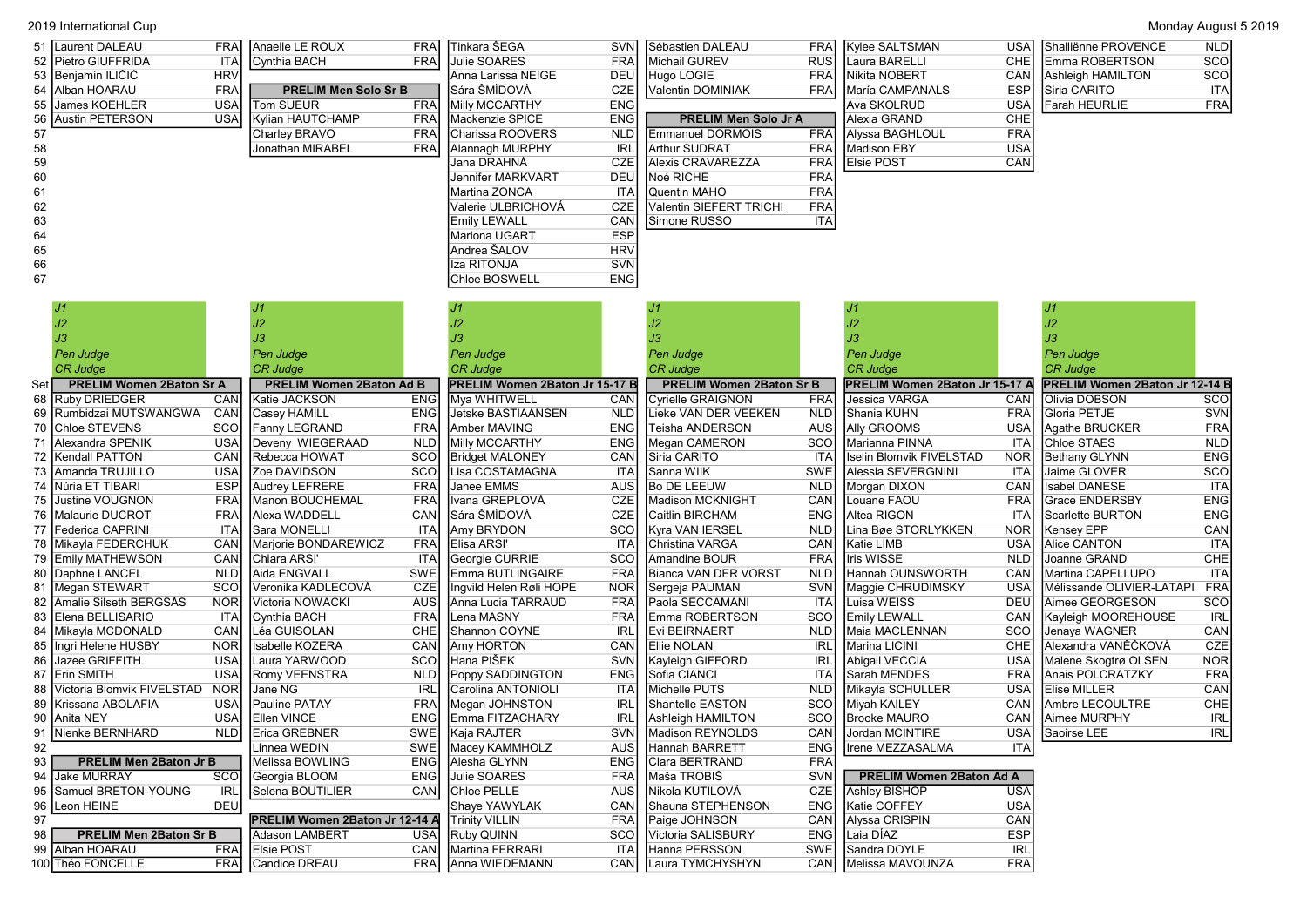|    | 2019 International Cup<br>Monday August 5 2019 |            |                             |             |                             |            |                             |            |                            |            |                           |            |  |
|----|------------------------------------------------|------------|-----------------------------|-------------|-----------------------------|------------|-----------------------------|------------|----------------------------|------------|---------------------------|------------|--|
|    | 51 Laurent DALEAU                              | FRAI       | Anaelle LE ROUX             | <b>FRA</b>  | │ Tinkara ŠEGA              |            | SVNI Sébastien DALEAU       |            | <b>FRAI</b> Kylee SALTSMAN |            | USAI Shalliënne PROVENCE  | <b>NLD</b> |  |
|    | 52 Pietro GIUFFRIDA                            | <b>ITA</b> | Cynthia BACH                | <b>FRA</b>  | Julie SOARES                |            | <b>FRAI IMichail GUREV</b>  |            | RUSI ILaura BARELLI        | CHEI       | <b>IEmma ROBERTSON</b>    | scol       |  |
|    | 53 Benjamin ILIČIĆ                             | <b>HRV</b> |                             |             | <b>I</b> Anna Larissa NEIGE |            | DEUI Hugo LOGIE             | FRAI       | <b>Nikita NOBERT</b>       |            | CAN   Ashleigh HAMILTON   | <b>SCO</b> |  |
|    | 54 Alban HOARAU                                | <b>FRA</b> | <b>PRELIM Men Solo Sr B</b> |             | <b>I</b> Sára ŠMÍDOVÁ       | <b>CZE</b> | Valentin DOMINIAK           | FRAI       | María CAMPANALS            |            | <b>ESPI ISiria CARITO</b> | <b>ITA</b> |  |
|    | 55 James KOEHLER                               | <b>USA</b> | Tom SUEUR                   | <b>FRAI</b> | Milly MCCARTHY              | <b>ENG</b> |                             |            | Ava SKOLRUD                |            | USA Farah HEURLIE         | <b>FRA</b> |  |
|    | 56 Austin PETERSON                             | <b>USA</b> | Kylian HAUTCHAMP            | <b>FRA</b>  | <b>IMackenzie SPICE</b>     | <b>ENG</b> | <b>PRELIM Men Solo Jr A</b> |            | Alexia GRAND               | <b>CHE</b> |                           |            |  |
| 57 |                                                |            | Charley BRAVO               | <b>FRA</b>  | <b>ICharissa ROOVERS</b>    | <b>NLD</b> | <b>IEmmanuel DORMOIS</b>    |            | FRA Alyssa BAGHLOUL        | FRAI       |                           |            |  |
| 58 |                                                |            | Jonathan MIRABEL            | <b>FRA</b>  | Alannagh MURPHY             | IRL        | <b>Arthur SUDRAT</b>        | FRAI       | Madison EBY                | USAI       |                           |            |  |
| 59 |                                                |            |                             |             | Jana DRAHNÀ                 | <b>CZE</b> | <b>Alexis CRAVAREZZA</b>    | FRAI       | <b>Elsie POST</b>          | <b>CAN</b> |                           |            |  |
| 60 |                                                |            |                             |             | Jennifer MARKVART           | DEUI       | <b>INoé RICHE</b>           | <b>FRA</b> |                            |            |                           |            |  |
| 61 |                                                |            |                             |             | IMartina ZONCA              |            | <b>ITAI IQuentin MAHO</b>   | <b>FRA</b> |                            |            |                           |            |  |
| 62 |                                                |            |                             |             | lValerie ULBRICHOVÁ         | <b>CZE</b> | Valentin SIEFERT TRICHI     | <b>FRA</b> |                            |            |                           |            |  |
| 63 |                                                |            |                             |             | <b>Emily LEWALL</b>         | <b>CAN</b> | <b>Simone RUSSO</b>         | <b>ITA</b> |                            |            |                           |            |  |
| 64 |                                                |            |                             |             | IMariona UGART              | <b>ESP</b> |                             |            |                            |            |                           |            |  |
| 65 |                                                |            |                             |             | IAndrea ŠALOV               | <b>HRV</b> |                             |            |                            |            |                           |            |  |
| 66 |                                                |            |                             |             | Iza RITONJA                 | <b>SVN</b> |                             |            |                            |            |                           |            |  |
| 67 |                                                |            |                             |             | <b>Chloe BOSWELL</b>        | <b>ENG</b> |                             |            |                            |            |                           |            |  |

|     |                                 |            |                                 |            |                                |            |                                 |                  | J2                                    |            |                                       |            |
|-----|---------------------------------|------------|---------------------------------|------------|--------------------------------|------------|---------------------------------|------------------|---------------------------------------|------------|---------------------------------------|------------|
|     | JЗ                              |            |                                 |            |                                |            |                                 |                  | JЗ                                    |            |                                       |            |
|     | Pen Judge                       |            | Pen Judge                       |            | Pen Judge                      |            | Pen Judge                       |                  | <b>Pen Judge</b>                      |            | Pen Judge                             |            |
|     | <b>CR Judge</b>                 |            | <b>CR Judge</b>                 |            | <b>CR Judge</b>                |            | <b>CR Judge</b>                 |                  | <b>CR Judge</b>                       |            | <b>CR Judge</b>                       |            |
| Set | <b>PRELIM Women 2Baton Sr A</b> |            | <b>PRELIM Women 2Baton Ad B</b> |            | PRELIM Women 2Baton Jr 15-17 B |            | <b>PRELIM Women 2Baton Sr B</b> |                  | <b>PRELIM Women 2Baton Jr 15-17 A</b> |            | <b>PRELIM Women 2Baton Jr 12-14 B</b> |            |
| 68  | <b>Ruby DRIEDGER</b>            | CAN        | Katie JACKSON                   | <b>ENG</b> | Mya WHITWELL                   | CAN        | Cyrielle GRAIGNON               | <b>FRA</b>       | <b>Jessica VARGA</b>                  | CAN        | Olivia DOBSON                         | <b>SCO</b> |
| 69  | Rumbidzai MUTSWANGWA            | CAN        | Casey HAMILL                    | <b>ENG</b> | Jetske BASTIAANSEN             | <b>NLD</b> | Lieke VAN DER VEEKEN            | <b>NLD</b>       | <b>I</b> Shania KUHN                  | <b>FRA</b> | Gloria PETJE                          | <b>SVN</b> |
| 70  | <b>Chloe STEVENS</b>            | SCO        | Fanny LEGRAND                   | <b>FRA</b> | Amber MAVING                   | <b>ENG</b> | Teisha ANDERSON                 | <b>AUS</b>       | <b>Ally GROOMS</b>                    | <b>USA</b> | Agathe BRUCKER                        | <b>FRA</b> |
|     | Alexandra SPENIK                | <b>USA</b> | Deveny WIEGERAAD                | <b>NLD</b> | Milly MCCARTHY                 | <b>ENG</b> | Megan CAMERON                   | SCO              | Marianna PINNA                        | <b>ITA</b> | Chloe STAES                           | <b>NLD</b> |
| 72  | Kendall PATTON                  | CAN        | Rebecca HOWAT                   | SCO        | <b>Bridget MALONEY</b>         | CAN        | Siria CARITO                    | <b>ITA</b>       | Ilselin Blomvik FIVELSTAD             | <b>NOR</b> | Bethany GLYNN                         | <b>ENG</b> |
|     | 73   Amanda TRUJILLO            | <b>USA</b> | Zoe DAVIDSON                    | SCO        | Lisa COSTAMAGNA                | <b>ITA</b> | Sanna WIIK                      | SWE              | Alessia SEVERGNINI                    | <b>ITA</b> | Jaime GLOVER                          | SCO        |
| 74  | Núria ET TIBARI                 | <b>ESP</b> | <b>Audrey LEFRERE</b>           | <b>FRA</b> | Janee EMMS                     | <b>AUS</b> | <b>Bo DE LEEUW</b>              | <b>NLD</b>       | Morgan DIXON                          | CAN        | <b>Isabel DANESE</b>                  | <b>ITA</b> |
| 75  | <b>Justine VOUGNON</b>          | <b>FRA</b> | Manon BOUCHEMAL                 | <b>FRA</b> | Ivana GREPLOVÁ                 | CZE        | <b>Madison MCKNIGHT</b>         | CAN              | Louane FAOU                           | <b>FRA</b> | <b>Grace ENDERSBY</b>                 | <b>ENG</b> |
|     | 76 Malaurie DUCROT              | <b>FRA</b> | Alexa WADDELL                   | CAN        | Sára ŠMÍDOVÁ                   | CZE        | <b>Caitlin BIRCHAM</b>          | <b>ENG</b>       | Altea RIGON                           | <b>ITA</b> | Scarlette BURTON                      | <b>ENG</b> |
| 77  | Federica CAPRINI                | <b>ITA</b> | Sara MONELLI                    | <b>ITA</b> | Amy BRYDON                     | SCO        | Kyra VAN IERSEL                 | <b>NLD</b>       | Lina Bøe STORLYKKEN                   | <b>NOR</b> | Kensey EPP                            | CAN        |
| 78  | Mikayla FEDERCHUK               | CAN        | Marjorie BONDAREWICZ            | <b>FRA</b> | Elisa ARSI'                    | <b>ITA</b> | <b>I</b> Christina VARGA        | CAN              | Katie LIMB                            | <b>USA</b> | Alice CANTON                          | <b>ITA</b> |
| 79  | <b>Emily MATHEWSON</b>          | CAN        | Chiara ARSI'                    | <b>ITA</b> | Georgie CURRIE                 | SCO        | Amandine BOUR                   | <b>FRA</b>       | <b>Iris WISSE</b>                     | <b>NLD</b> | Joanne GRAND                          | CHE        |
| 80  | Daphne LANCEL                   | <b>NLD</b> | Aida ENGVALL                    | SWE        | Emma BUTLINGAIRE               | <b>FRA</b> | <b>I</b> Bianca VAN DER VORST   | <b>NLD</b>       | Hannah OUNSWORTH                      | CAN        | Martina CAPELLUPO                     | <b>ITA</b> |
| 81  | Megan STEWART                   | <b>SCO</b> | Veronika KADLECOVÁ              | CZE        | Ingvild Helen Røli HOPE        | <b>NOR</b> | Sergeja PAUMAN                  | <b>SVN</b>       | Maggie CHRUDIMSKY                     | <b>USA</b> | Mélissande OLIVIER-LATAPI             | <b>FRA</b> |
| 82  | Amalie Silseth BERGSÅS          | <b>NOR</b> | Victoria NOWACKI                | <b>AUS</b> | Anna Lucia TARRAUD             | <b>FRA</b> | Paola SECCAMANI                 | <b>ITA</b>       | Luisa WEISS                           | DEU        | Aimee GEORGESON                       | SCO        |
| 83  | Elena BELLISARIO                | <b>ITA</b> | Cynthia BACH                    | <b>FRA</b> | Lena MASNY                     | <b>FRA</b> | <b>Emma ROBERTSON</b>           | SCO              | <b>Emily LEWALL</b>                   | CAN        | Kayleigh MOOREHOUSE                   | <b>IRL</b> |
|     | Mikayla MCDONALD                | CAN        | Léa GUISOLAN                    | CHE        | Shannon COYNE                  | <b>IRL</b> | <b>IEvi BEIRNAERT</b>           | <b>NLD</b>       | Maia MACLENNAN                        | SCO        | Jenaya WAGNER                         | CAN        |
| 85  | Ingri Helene HUSBY              | <b>NOR</b> | Isabelle KOZERA                 | CAN        | Amy HORTON                     | CAN        | <b>Ellie NOLAN</b>              | <b>IRL</b>       | Marina LICINI                         | CHE        | Alexandra VANĚČKOVÁ                   | CZE        |
| 86  | Jazee GRIFFITH                  | <b>USA</b> | Laura YARWOOD                   | SCO        | Hana PIŠEK                     | <b>SVN</b> | Kayleigh GIFFORD                | <b>IRL</b>       | Abigail VECCIA                        | <b>USA</b> | Malene Skogtrø OLSEN                  | <b>NOR</b> |
| 87  | Erin SMITH                      | <b>USA</b> | <b>Romy VEENSTRA</b>            | <b>NLD</b> | Poppy SADDINGTON               | <b>ENG</b> | Sofia CIANCI                    | <b>ITA</b>       | Sarah MENDES                          | <b>FRA</b> | Anais POLCRATZKY                      | <b>FRA</b> |
| 88  | Victoria Blomvik FIVELSTAD      | <b>NOR</b> | Jane NG                         | <b>IRL</b> | Carolina ANTONIOLI             | <b>ITA</b> | <b>IMichelle PUTS</b>           | <b>NLD</b>       | Mikayla SCHULLER                      | <b>USA</b> | <b>Elise MILLER</b>                   | CAN        |
| 89  | Krissana ABOLAFIA               | <b>USA</b> | Pauline PATAY                   | <b>FRA</b> | Megan JOHNSTON                 | <b>IRL</b> | Shantelle EASTON                | SCO              | Miyah KAILEY                          | CAN        | Ambre LECOULTRE                       | CHE        |
| 90  | Anita NEY                       | <b>USA</b> | <b>Ellen VINCE</b>              | <b>ENG</b> | Emma FITZACHARY                | <b>IRL</b> | Ashleigh HAMILTON               | <b>SCO</b>       | <b>Brooke MAURO</b>                   | CAN        | <b>I</b> Aimee MURPHY                 | <b>IRL</b> |
|     | Nienke BERNHARD                 | <b>NLD</b> | Erica GREBNER                   | SWE        | Kaja RAJTER                    | SVN        | Madison REYNOLDS                | CAN              | Jordan MCINTIRE                       | <b>USA</b> | Saoirse LEE                           | <b>IRL</b> |
| 92  |                                 |            | Linnea WEDIN                    | SWE        | Macey KAMMHOLZ                 | <b>AUS</b> | Hannah BARRETT                  | <b>ENG</b>       | Irene MEZZASALMA                      | <b>ITA</b> |                                       |            |
| 93  | PRELIM Men 2Baton Jr B          |            | Melissa BOWLING                 | <b>ENG</b> | Alesha GLYNN                   | <b>ENG</b> | Clara BERTRAND                  | <b>FRA</b>       |                                       |            |                                       |            |
| 94  | <b>Jake MURRAY</b>              | <b>SCO</b> | Georgia BLOOM                   | <b>ENG</b> | Julie SOARES                   | <b>FRA</b> | <b>I</b> Maša TROBIŠ            | <b>SVN</b>       | <b>PRELIM Women 2Baton Ad A</b>       |            |                                       |            |
| 95  | Samuel BRETON-YOUNG             | <b>IRL</b> | Selena BOUTILIER                | CAN        | Chloe PELLE                    | <b>AUS</b> | Nikola KUTILOVÁ                 | <b>CZE</b>       | <b>Ashley BISHOP</b>                  | <b>USA</b> |                                       |            |
| 96  | Leon HEINE                      | <b>DEU</b> |                                 |            | Shaye YAWYLAK                  | CAN        | <b>Shauna STEPHENSON</b>        | <b>ENG</b>       | Katie COFFEY                          | <b>USA</b> |                                       |            |
| 97  |                                 |            | PRELIM Women 2Baton Jr 12-14 A  |            | <b>Trinity VILLIN</b>          | <b>FRA</b> | Paige JOHNSON                   | CAN              | Alyssa CRISPIN                        | CAN        |                                       |            |
| 98  | <b>PRELIM Men 2Baton Sr B</b>   |            | <b>Adason LAMBERT</b>           | <b>USA</b> | Ruby QUINN                     | SCO        | Victoria SALISBURY              | <b>ENG</b>       | Laia DÍAZ                             | <b>ESP</b> |                                       |            |
| 99  | Alban HOARAU                    | <b>FRA</b> | <b>Elsie POST</b>               | CAN        | Martina FERRARI                | <b>ITA</b> | Hanna PERSSON                   | <b>SWE</b>       | Sandra DOYLE                          | <b>IRL</b> |                                       |            |
|     | 100 Théo FONCELLE               | <b>FRA</b> | Candice DREAU                   | <b>FRA</b> | Anna WIEDEMANN                 | <b>CAN</b> | Laura TYMCHYSHYN                | CAN <sup> </sup> | Melissa MAVOUNZA                      | <b>FRA</b> |                                       |            |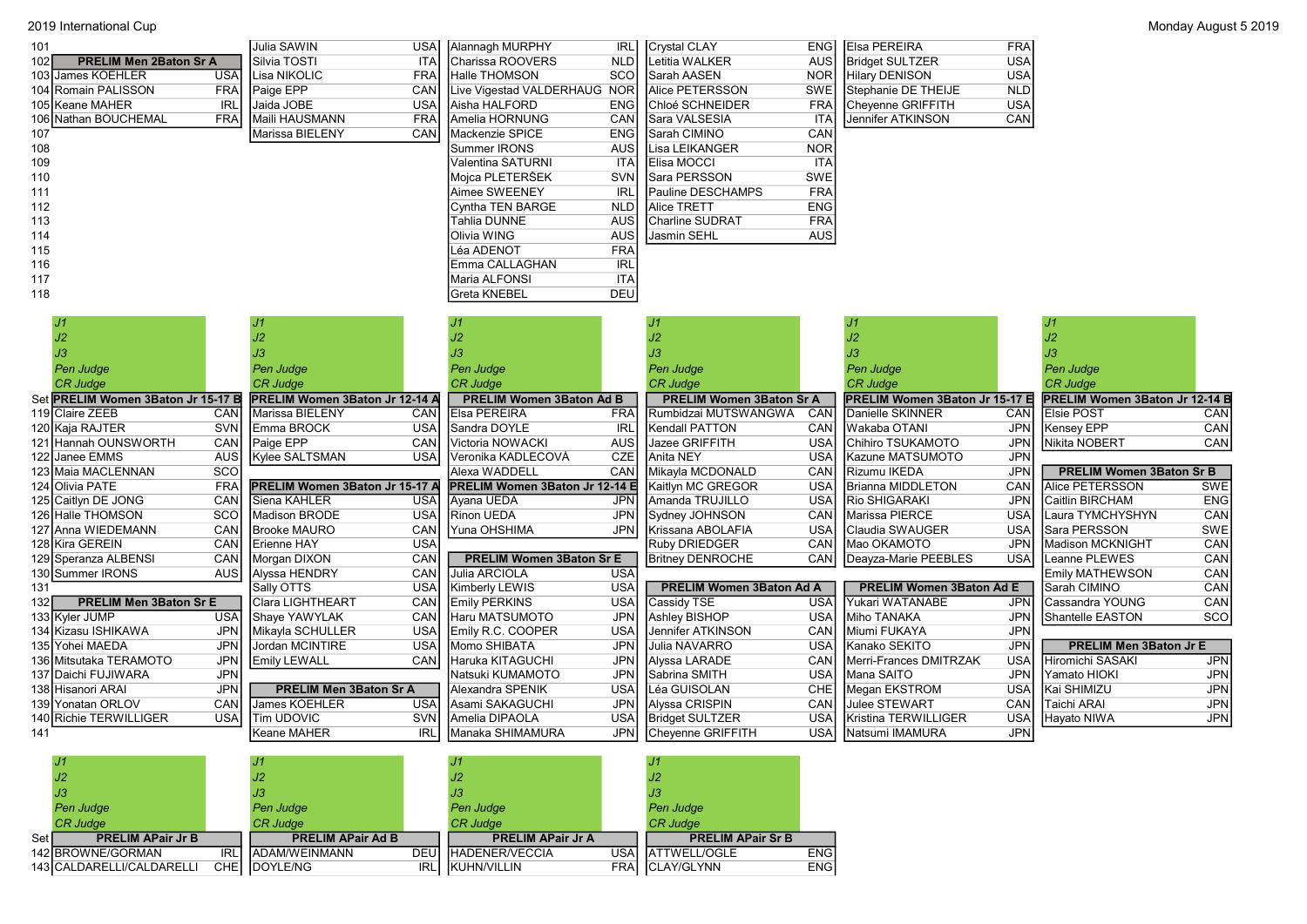| 101                                  |            | Julia SAWIN                    | USA        | Alannagh MURPHY                 | <b>IRLI</b> | Crystal CLAY                    | <b>ENGI</b> | <b>Elsa PEREIRA</b>            | <b>FRA</b>               |                                 |            |
|--------------------------------------|------------|--------------------------------|------------|---------------------------------|-------------|---------------------------------|-------------|--------------------------------|--------------------------|---------------------------------|------------|
| 102<br><b>PRELIM Men 2Baton Sr A</b> |            | Silvia TOSTI                   | <b>ITA</b> | Charissa ROOVERS                | <b>NLD</b>  | Letitia WALKER                  | AUS         | <b>Bridget SULTZER</b>         | <b>USA</b>               |                                 |            |
| 103 James KOEHLER                    | <b>USA</b> | Lisa NIKOLIC                   | <b>FRA</b> | Halle THOMSON                   | sco         | Sarah AASEN                     | <b>NOR</b>  | Hilary DENISON                 | <b>USA</b>               |                                 |            |
| 104 Romain PALISSON                  | <b>FRA</b> | Paige EPP                      | <b>CAN</b> | Live Vigestad VALDERHAUG NOR    |             | Alice PETERSSON                 | <b>SWE</b>  | Stephanie DE THEIJE            | <b>NLD</b>               |                                 |            |
| 105 Keane MAHER                      | <b>IRL</b> | Jaida JOBE                     | <b>USA</b> | Aisha HALFORD                   | <b>ENG</b>  | Chloé SCHNEIDER                 | <b>FRA</b>  | Cheyenne GRIFFITH              | <b>USA</b>               |                                 |            |
| 106 Nathan BOUCHEMAL                 | <b>FRA</b> | Maili HAUSMANN                 | <b>FRA</b> | Amelia HORNUNG                  | CAN         | Sara VALSESIA                   | <b>ITA</b>  | Jennifer ATKINSON              | CAN                      |                                 |            |
| 107                                  |            | Marissa BIELENY                | CAN        | Mackenzie SPICE                 | <b>ENG</b>  | Sarah CIMINO                    | CAN         |                                |                          |                                 |            |
| 108                                  |            |                                |            | Summer IRONS                    | AUS         | Lisa LEIKANGER                  | <b>NOR</b>  |                                |                          |                                 |            |
| 109                                  |            |                                |            | Valentina SATURNI               | ITA         | Elisa MOCCI                     | <b>ITA</b>  |                                |                          |                                 |            |
| 110                                  |            |                                |            | Mojca PLETERŠEK                 | <b>SVN</b>  | Sara PERSSON                    | <b>SWE</b>  |                                |                          |                                 |            |
| 111                                  |            |                                |            | Aimee SWEENEY                   | <b>IRL</b>  | Pauline DESCHAMPS               | <b>FRA</b>  |                                |                          |                                 |            |
| 112                                  |            |                                |            | Cyntha TEN BARGE                | <b>NLD</b>  | Alice TRETT                     | <b>ENG</b>  |                                |                          |                                 |            |
| 113                                  |            |                                |            | Tahlia DUNNE                    | AUS         | Charline SUDRAT                 | <b>FRA</b>  |                                |                          |                                 |            |
| 114                                  |            |                                |            | Olivia WING                     | <b>AUS</b>  | Jasmin SEHL                     | <b>AUS</b>  |                                |                          |                                 |            |
| 115                                  |            |                                |            | Léa ADENOT                      | <b>FRA</b>  |                                 |             |                                |                          |                                 |            |
| 116                                  |            |                                |            | Emma CALLAGHAN                  | <b>IRL</b>  |                                 |             |                                |                          |                                 |            |
| 117                                  |            |                                |            | Maria ALFONSI                   | <b>ITA</b>  |                                 |             |                                |                          |                                 |            |
| 118                                  |            |                                |            | Greta KNEBEL                    | <b>DEU</b>  |                                 |             |                                |                          |                                 |            |
|                                      |            |                                |            |                                 |             |                                 |             |                                |                          |                                 |            |
| J <sub>1</sub>                       |            | J <sub>1</sub>                 |            | J1                              |             | J <sub>1</sub>                  |             | J <sub>1</sub>                 |                          | J <sub>1</sub>                  |            |
| $\ensuremath{\mathsf{J2}}$           |            | J2                             |            | J2                              |             | J2                              |             | J2                             |                          | J2                              |            |
| J3                                   |            | JЗ                             |            | JЗ                              |             | JЗ                              |             | JЗ                             |                          | JЗ                              |            |
| <b>Pen Judge</b>                     |            | Pen Judge                      |            | Pen Judge                       |             | <b>Pen Judge</b>                |             | <b>Pen Judge</b>               |                          | Pen Judge                       |            |
| <b>CR Judge</b>                      |            | <b>CR Judge</b>                |            | <b>CR Judge</b>                 |             |                                 |             |                                |                          | <b>CR Judge</b>                 |            |
|                                      |            |                                |            |                                 |             | <b>CR Judge</b>                 |             | <b>CR Judge</b>                |                          |                                 |            |
| Set PRELIM Women 3Baton Jr 15-17 B   |            | PRELIM Women 3Baton Jr 12-14 A |            | <b>PRELIM Women 3Baton Ad B</b> |             | <b>PRELIM Women 3Baton Sr A</b> |             | PRELIM Women 3Baton Jr 15-17 E |                          | PRELIM Women 3Baton Jr 12-14 B  |            |
| 119 Claire ZEEB                      | CAN        | Marissa BIELENY                | CAN        | Elsa PEREIRA                    | <b>FRA</b>  | Rumbidzai MUTSWANGWA            | CAN         | Danielle SKINNER               | CAN                      | <b>Elsie POST</b>               | CAN        |
| 120 Kaja RAJTER                      | <b>SVN</b> | Emma BROCK                     | <b>USA</b> | Sandra DOYLE                    | <b>IRL</b>  | Kendall PATTON                  | CAN         | Wakaba OTANI                   | <b>JPN</b>               | Kensey EPP                      | CAN        |
| 121 Hannah OUNSWORTH                 | CAN        | Paige EPP                      | CAN        | Victoria NOWACKI                | <b>AUS</b>  | <b>Jazee GRIFFITH</b>           | <b>USA</b>  | Chihiro TSUKAMOTO              | <b>JPN</b>               | Nikita NOBERT                   | CAN        |
| 122 Janee EMMS                       | AUS        | Kylee SALTSMAN                 | <b>USA</b> | Veronika KADLECOVÁ              | CZE         | Anita NEY                       | <b>USA</b>  | Kazune MATSUMOTO               | <b>JPN</b>               |                                 |            |
| 123 Maia MACLENNAN                   | SCO        |                                |            | Alexa WADDELL                   | CAN         | Mikayla MCDONALD                | CAN         | Rizumu IKEDA                   | <b>JPN</b>               | <b>PRELIM Women 3Baton Sr B</b> |            |
| 124 Olivia PATE                      | FRA        | PRELIM Women 3Baton Jr 15-17 A |            | PRELIM Women 3Baton Jr 12-14 E  |             | Kaitlyn MC GREGOR               | <b>USA</b>  | <b>Brianna MIDDLETON</b>       | CAN                      | Alice PETERSSON                 | <b>SWE</b> |
| 125 Caitlyn DE JONG                  | CAN        | Siena KAHLER                   | <b>USA</b> | Ayana UEDA                      | <b>JPN</b>  | Amanda TRUJILLO                 | <b>USA</b>  | <b>Rio SHIGARAKI</b>           | <b>JPN</b>               | Caitlin BIRCHAM                 | <b>ENG</b> |
| 126 Halle THOMSON                    | <b>SCO</b> | Madison BRODE                  | <b>USA</b> | Rinon UEDA                      | <b>JPN</b>  | Sydney JOHNSON                  | CAN         | Marissa PIERCE                 | <b>USA</b>               | Laura TYMCHYSHYN                | CAN        |
| 127 Anna WIEDEMANN                   | CAN        | <b>Brooke MAURO</b>            | CAN        | IYuna OHSHIMA                   | <b>JPN</b>  | Krissana ABOLAFIA               | <b>USA</b>  | Claudia SWAUGER                | <b>USA</b>               | <b>I</b> Sara PERSSON           | <b>SWE</b> |
| 128 Kira GEREIN                      | CAN        | Erienne HAY                    | <b>USA</b> |                                 |             | Ruby DRIEDGER                   | CAN         | Mao OKAMOTO                    | <b>JPN</b>               | Madison MCKNIGHT                | CAN        |
| 129 Speranza ALBENSI                 | CAN        | Morgan DIXON                   | CAN        | <b>PRELIM Women 3Baton Sr E</b> |             | <b>Britney DENROCHE</b>         | CAN         | Deayza-Marie PEEBLES           | <b>USA</b>               | Leanne PLEWES                   | CAN        |
| 130 Summer IRONS                     | <b>AUS</b> | Alyssa HENDRY                  | CAN        | Julia ARCIOLA                   | <b>USA</b>  |                                 |             |                                |                          | <b>Emily MATHEWSON</b>          | CAN        |
| 131                                  |            | Sally OTTS                     | <b>USA</b> | Kimberly LEWIS                  | <b>USA</b>  | PRELIM Women 3Baton Ad A        |             | PRELIM Women 3Baton Ad E       |                          | Sarah CIMINO                    | CAN        |
| 132<br><b>PRELIM Men 3Baton Sr E</b> |            | Clara LIGHTHEART               | CAN        | <b>Emily PERKINS</b>            | <b>USA</b>  | Cassidy TSE                     | <b>USA</b>  | Yukari WATANABE                | <b>JPN</b>               | Cassandra YOUNG                 | CAN        |
| 133 Kyler JUMP                       | <b>USA</b> | Shaye YAWYLAK                  | CAN        | Haru MATSUMOTO                  | <b>JPN</b>  | Ashley BISHOP                   | <b>USA</b>  | Miho TANAKA                    | <b>JPN</b>               | Shantelle EASTON                | <b>SCO</b> |
| 134 Kizasu ISHIKAWA                  | <b>JPN</b> | Mikayla SCHULLER               | <b>USA</b> | Emily R.C. COOPER               | <b>USA</b>  | Jennifer ATKINSON               | CAN         | Miumi FUKAYA                   | <b>JPN</b>               |                                 |            |
| 135 Yohei MAEDA                      | <b>JPN</b> | Jordan MCINTIRE                | <b>USA</b> | Momo SHIBATA                    | <b>JPN</b>  | Julia NAVARRO                   | <b>USA</b>  | Kanako SEKITO                  | <b>JPN</b>               | <b>PRELIM Men 3Baton Jr E</b>   |            |
| 136 Mitsutaka TERAMOTO               | <b>JPN</b> | <b>Emily LEWALL</b>            | CAN        | Haruka KITAGUCHI                | <b>JPN</b>  | Alyssa LARADE                   | CAN         | Merri-Frances DMITRZAK         | <b>USA</b>               | Hiromichi SASAKI                | <b>JPN</b> |
| 137 Daichi FUJIWARA                  | <b>JPN</b> |                                |            | Natsuki KUMAMOTO                | <b>JPN</b>  | Sabrina SMITH                   | <b>USA</b>  | Mana SAITO                     | <b>JPN</b>               | Yamato HIOKI                    | <b>JPN</b> |
| 138 Hisanori ARAI                    | <b>JPN</b> | <b>PRELIM Men 3Baton Sr A</b>  |            | Alexandra SPENIK                | <b>USA</b>  | Léa GUISOLAN                    | CHE         | Megan EKSTROM                  | <b>USA</b>               | Kai SHIMIZU                     | <b>JPN</b> |
| 139 Yonatan ORLOV                    | CAN        | James KOEHLER                  | <b>USA</b> | Asami SAKAGUCHI                 | <b>JPN</b>  | Alyssa CRISPIN                  | CAN         | <b>Julee STEWART</b>           | CAN                      | Taichi ARAI                     | <b>JPN</b> |
| 140 Richie TERWILLIGER               | <b>USA</b> | <b>Tim UDOVIC</b>              | <b>SVN</b> | Amelia DIPAOLA                  | <b>USA</b>  | <b>Bridget SULTZER</b>          | <b>USA</b>  | Kristina TERWILLIGER           | <b>USA</b><br><b>JPN</b> | Hayato NIWA                     | <b>JPN</b> |

|       | J1                          |             |                          |      |                          |            |                          |            |
|-------|-----------------------------|-------------|--------------------------|------|--------------------------|------------|--------------------------|------------|
|       | J2                          |             | J2                       |      | J2                       |            | J2                       |            |
|       | J3                          |             | JЗ                       |      | IJЗ                      |            | J3                       |            |
|       | Pen Judge                   |             | Pen Judge                |      | Pen Judge                |            | Pen Judge                |            |
|       | <b>CR</b> Judge             |             | <b>CR Judge</b>          |      | <b>CR Judge</b>          |            | <b>CR Judge</b>          |            |
| Set l | <b>PRELIM APair Jr B</b>    |             | <b>PRELIM APair Ad B</b> |      | <b>PRELIM APair Jr A</b> |            | <b>PRELIM APair Sr B</b> |            |
|       | 142 BROWNE/GORMAN           | <b>IRL</b>  | <b>JADAM/WEINMANN</b>    | DEUI | <b>HADENER/VECCIA</b>    |            | USAI IATTWELL/OGLE       | <b>ENG</b> |
|       | 143   CALDARELLI/CALDARELLI | <b>CHEI</b> | <b>IDOYLE/NG</b>         | IRLI | <b>IKUHN/VILLIN</b>      | <b>FRA</b> | CLAY/GLYNN               | <b>ENG</b> |
|       |                             |             |                          |      |                          |            |                          |            |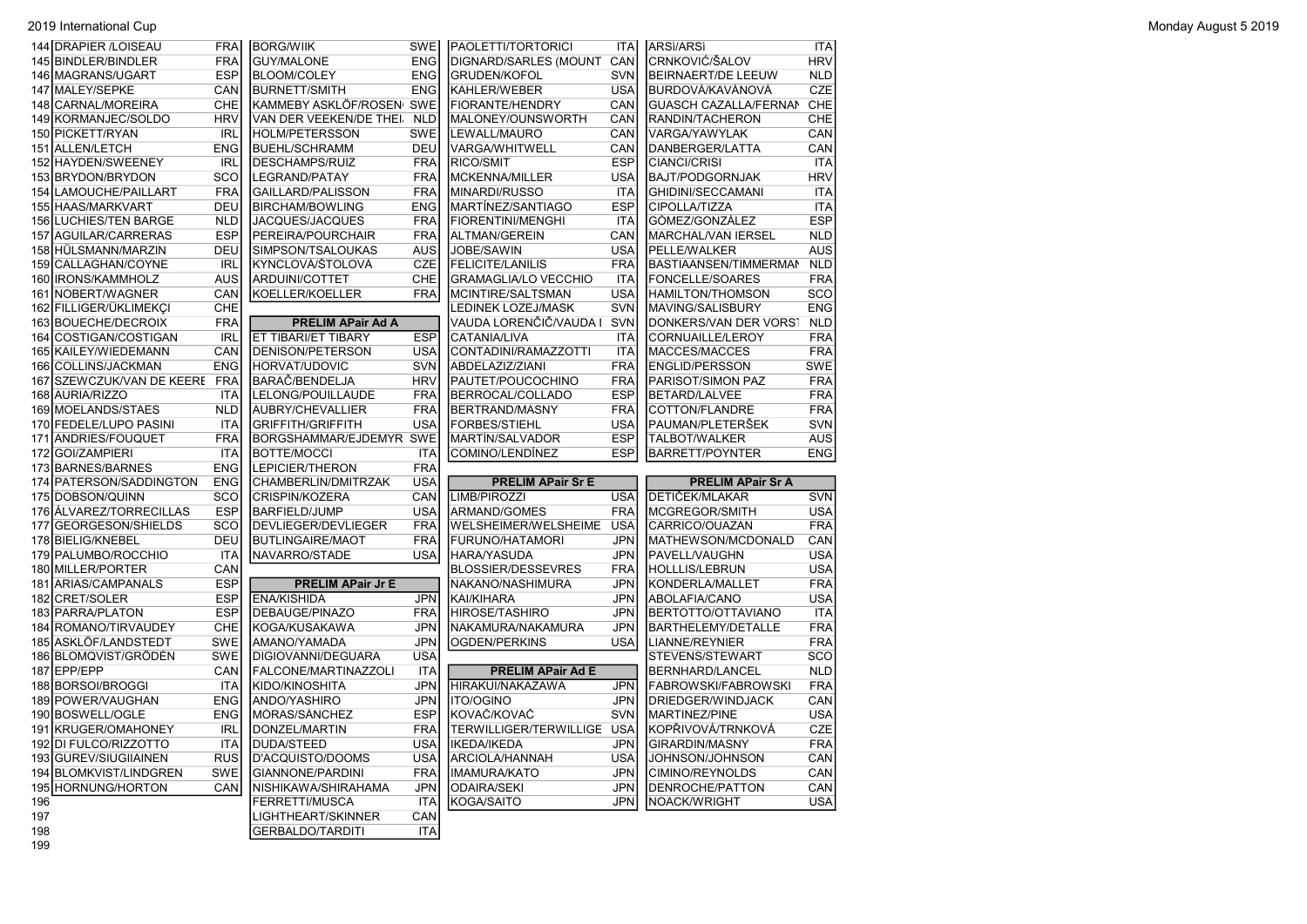2019 International Cup Monday August 5 2019

|            | 144 DRAPIER / LOISEAU                          | <b>FRA</b>               | <b>BORG/WIIK</b>                               | <b>SWE</b>               | <b>PAOLETTI/TORTORICI</b>                     | ITA                      | ARSI/ARSI                                     | ITA                      |
|------------|------------------------------------------------|--------------------------|------------------------------------------------|--------------------------|-----------------------------------------------|--------------------------|-----------------------------------------------|--------------------------|
|            | 145 BINDLER/BINDLER                            | <b>FRA</b>               | <b>GUY/MALONE</b>                              | <b>ENG</b>               | DIGNARD/SARLES (MOUNT                         | CAN                      | CRNKOVIĆ/ŠALOV                                | <b>HRV</b>               |
|            | 146 MAGRANS/UGART                              | <b>ESP</b>               | <b>BLOOM/COLEY</b>                             | <b>ENG</b>               | GRUDEN/KOFOL                                  | <b>SVN</b>               | <b>BEIRNAERT/DE LEEUW</b>                     | <b>NLD</b>               |
| 147        | <b>MALEY/SEPKE</b>                             | CAN                      | <b>BURNETT/SMITH</b>                           | <b>ENG</b>               | <b>I</b> KAHLER/WEBER                         | <b>USA</b>               | BURDOVÁ/KAVÁNOVÁ                              | <b>CZE</b>               |
| 148        | CARNAL/MOREIRA                                 | CHE                      | KAMMEBY ASKLÖF/ROSEN SWE                       |                          | FIORANTE/HENDRY                               | CAN                      | <b>GUASCH CAZALLA/FERNAM</b>                  | CHE                      |
| 149        | KORMANJEC/SOLDO                                | <b>HRV</b>               | VAN DER VEEKEN/DE THEI.                        | <b>NLD</b>               | MALONEY/OUNSWORTH                             | CAN                      | RANDIN/TACHERON                               | CHE                      |
| 150        | PICKETT/RYAN                                   | <b>IRL</b>               | <b>HOLM/PETERSSON</b>                          | <b>SWE</b>               | LEWALL/MAURO                                  | CAN                      | VARGA/YAWYLAK                                 | CAN                      |
| 151        | <b>ALLEN/LETCH</b>                             | <b>ENG</b>               | <b>BUEHL/SCHRAMM</b>                           | DEU                      | <b>VARGA/WHITWELL</b>                         | CAN                      | DANBERGER/LATTA                               | CAN                      |
| 152        | <b>HAYDEN/SWEENEY</b>                          | <b>IRL</b>               | <b>DESCHAMPS/RUIZ</b>                          | <b>FRA</b>               | RICO/SMIT                                     | <b>ESP</b>               | <b>CIANCI/CRISI</b>                           | <b>ITA</b>               |
|            | 153 BRYDON/BRYDON                              | SCO                      | LEGRAND/PATAY                                  | <b>FRA</b>               | MCKENNA/MILLER                                | <b>USA</b>               | BAJT/PODGORNJAK                               | <b>HRV</b>               |
| 154        | LAMOUCHE/PAILLART                              | <b>FRA</b>               | GAILLARD/PALISSON                              | <b>FRA</b>               | MINARDI/RUSSO                                 | <b>ITA</b>               | <b>GHIDINI/SECCAMANI</b>                      | <b>ITA</b>               |
| 155        | <b>HAAS/MARKVART</b>                           | DEU                      | <b>BIRCHAM/BOWLING</b>                         | <b>ENG</b>               | MARTİNEZ/SANTIAGO                             | <b>ESP</b>               | <b>CIPOLLA/TIZZA</b>                          | ITA                      |
| 156        | <b>LUCHIES/TEN BARGE</b>                       | <b>NLD</b>               | <b>JACQUES/JACQUES</b>                         | <b>FRA</b>               | FIORENTINI/MENGHI                             | <b>ITA</b>               | GÓMEZ/GONZÁLEZ                                | <b>ESP</b>               |
| 157        | AGUILAR/CARRERAS                               | <b>ESP</b>               | PEREIRA/POURCHAIR                              | <b>FRA</b>               | ALTMAN/GEREIN                                 | CAN                      | MARCHAL/VAN IERSEL                            | <b>NLD</b>               |
|            | 158 HÜLSMANN/MARZIN                            | DEU                      | SIMPSON/TSALOUKAS                              | <b>AUS</b>               | JOBE/SAWIN                                    | <b>USA</b>               | PELLE/WALKER                                  | <b>AUS</b>               |
| 159        | CALLAGHAN/COYNE                                | <b>IRL</b>               | KYNCLOVÁ/ŠTOLOVÁ                               | <b>CZE</b>               | FELICITE/LANILIS                              | <b>FRA</b>               | BASTIAANSEN/TIMMERMAN                         | <b>NLD</b>               |
|            | 160 IRONS/KAMMHOLZ                             | <b>AUS</b>               | ARDUINI/COTTET                                 | CHE                      | GRAMAGLIA/LO VECCHIO                          | <b>ITA</b>               | FONCELLE/SOARES                               | <b>FRA</b>               |
| 161        | NOBERT/WAGNER                                  | CAN                      | KOELLER/KOELLER                                | <b>FRA</b>               | MCINTIRE/SALTSMAN                             | <b>USA</b>               | <b>HAMILTON/THOMSON</b>                       | SCO                      |
| 162        | FILLIGER/ÜKLIMEKÇI                             | CHE                      |                                                |                          | <b>LEDINEK LOZEJ/MASK</b>                     | <b>SVN</b>               | MAVING/SALISBURY                              | <b>ENG</b>               |
|            | 163 BOUECHE/DECROIX                            | <b>FRA</b>               | <b>PRELIM APair Ad A</b>                       |                          | VAUDA LORENČIČ/VAUDA I                        | <b>SVN</b>               | DONKERS/VAN DER VORST                         | <b>NLD</b>               |
| 164        | COSTIGAN/COSTIGAN                              | <b>IRL</b>               | ET TIBARI/ET TIBARY                            | <b>ESP</b>               | CATANIA/LIVA                                  | <b>ITA</b>               | CORNUAILLE/LEROY                              | <b>FRA</b>               |
| 1651       | KAILEY/WIEDEMANN                               | CAN                      | DENISON/PETERSON                               | <b>USA</b>               | CONTADINI/RAMAZZOTTI                          | ITA                      | MACCES/MACCES                                 | <b>FRA</b>               |
| 166        | COLLINS/JACKMAN                                | <b>ENG</b>               | HORVAT/UDOVIC                                  | <b>SVN</b>               | ABDELAZIZ/ZIANI                               | <b>FRA</b>               | <b>ENGLID/PERSSON</b>                         | <b>SWE</b>               |
| 167        | SZEWCZUK/VAN DE KEERE                          | FRA                      | BARAČ/BENDELJA                                 | <b>HRV</b>               | PAUTET/POUCOCHINO                             | <b>FRA</b>               | PARISOT/SIMON PAZ                             | <b>FRA</b>               |
|            | 168 AURIA/RIZZO                                | ITA                      | LELONG/POUILLAUDE                              | <b>FRA</b>               | BERROCAL/COLLADO                              | <b>ESP</b>               | <b>BETARD/LALVEE</b>                          | <b>FRA</b>               |
|            | 169 MOELANDS/STAES                             | <b>NLD</b>               | AUBRY/CHEVALLIER                               | <b>FRA</b>               | BERTRAND/MASNY                                | <b>FRA</b>               | COTTON/FLANDRE                                | <b>FRA</b>               |
|            | 170 FEDELE/LUPO PASINI                         | ITA                      | <b>GRIFFITH/GRIFFITH</b>                       | <b>USA</b>               | <b>FORBES/STIEHL</b>                          | <b>USA</b>               | PAUMAN/PLETERŠEK                              | SVN                      |
| 171        | ANDRIES/FOUQUET                                | <b>FRA</b>               | BORGSHAMMAR/EJDEMYR SWE                        |                          | MARTİN/SALVADOR                               | <b>ESP</b>               | <b>TALBOT/WALKER</b>                          | AUS                      |
|            |                                                |                          |                                                |                          |                                               |                          |                                               |                          |
| 172        |                                                |                          |                                                | <b>ITA</b>               |                                               |                          |                                               |                          |
|            | <b>GOI/ZAMPIERI</b>                            | ITA                      | BOTTE/MOCCI<br><b>LEPICIER/THERON</b>          |                          | COMINO/LENDINEZ                               | <b>ESP</b>               | <b>BARRETT/POYNTER</b>                        | <b>ENG</b>               |
| 174        | 173 BARNES/BARNES                              | <b>ENG</b>               |                                                | <b>FRA</b>               |                                               |                          |                                               |                          |
| 175        | PATERSON/SADDINGTON                            | <b>ENG</b><br>SCO        | CHAMBERLIN/DMITRZAK                            | USA<br>CAN               | <b>PRELIM APair Sr E</b><br>LIMB/PIROZZI      | <b>USA</b>               | <b>PRELIM APair Sr A</b><br>DETIČEK/MLAKAR    | <b>SVN</b>               |
|            | DOBSON/QUINN<br>176 ALVAREZ/TORRECILLAS        | <b>ESP</b>               | CRISPIN/KOZERA<br>BARFIELD/JUMP                | <b>USA</b>               |                                               | <b>FRA</b>               |                                               |                          |
| 177        |                                                |                          |                                                |                          | ARMAND/GOMES                                  | <b>USA</b>               | MCGREGOR/SMITH                                | <b>USA</b>               |
|            | <b>GEORGESON/SHIELDS</b>                       | SCO<br>DEU               | DEVLIEGER/DEVLIEGER                            | <b>FRA</b><br><b>FRA</b> | WELSHEIMER/WELSHEIME                          | <b>JPN</b>               | CARRICO/OUAZAN                                | <b>FRA</b>               |
|            | 178 BIELIG/KNEBEL                              |                          | <b>BUTLINGAIRE/MAOT</b>                        |                          | FURUNO/HATAMORI                               |                          | MATHEWSON/MCDONALD                            | CAN                      |
|            | 179 PALUMBO/ROCCHIO                            | ITA                      | NAVARRO/STADE                                  | <b>USA</b>               | HARA/YASUDA                                   | <b>JPN</b>               | PAVELL/VAUGHN                                 | <b>USA</b>               |
|            | 180 MILLER/PORTER                              | CAN                      |                                                |                          | <b>BLOSSIER/DESSEVRES</b>                     | <b>FRA</b>               | <b>HOLLLIS/LEBRUN</b>                         | <b>USA</b>               |
| 181<br>182 | ARIAS/CAMPANALS<br><b>CRET/SOLER</b>           | <b>ESP</b><br><b>ESP</b> | <b>PRELIM APair Jr E</b><br><b>ENA/KISHIDA</b> | <b>JPN</b>               | NAKANO/NASHIMURA<br> KAI/KIHARA               | <b>JPN</b><br>JPN        | KONDERLA/MALLET                               | <b>FRA</b><br>USA        |
|            |                                                |                          |                                                |                          |                                               |                          | ABOLAFIA/CANO                                 |                          |
| 184        | 183 PARRA/PLATON<br>ROMANO/TIRVAUDEY           | <b>ESP</b><br>CHE        | DEBAUGE/PINAZO                                 | <b>FRA</b><br><b>JPN</b> | HIROSE/TASHIRO                                | <b>JPN</b><br><b>JPN</b> | BERTOTTO/OTTAVIANO                            | <b>ITA</b><br><b>FRA</b> |
|            |                                                |                          | KOGA/KUSAKAWA                                  |                          | NAKAMURA/NAKAMURA                             |                          | <b>BARTHELEMY/DETALLE</b>                     |                          |
|            | 185 ASKLÖF/LANDSTEDT                           | <b>SWE</b>               | AMANO/YAMADA                                   | <b>JPN</b>               | OGDEN/PERKINS                                 | <b>USA</b>               | <b>LIANNE/REYNIER</b>                         | <b>FRA</b>               |
| 187        | 186 BLOMQVIST/GRÖDÉN                           | <b>SWE</b>               | DIGIOVANNI/DEGUARA                             | <b>USA</b>               | <b>PRELIM APair Ad E</b>                      |                          | STEVENS/STEWART                               | SCO                      |
|            | EPP/EPP                                        | CAN                      | FALCONE/MARTINAZZOLI                           | ITA                      | HIRAKUI/NAKAZAWA                              |                          | BERNHARD/LANCEL<br><b>FABROWSKI/FABROWSKI</b> | <b>NLD</b>               |
|            | 188 BORSOI/BROGGI                              | ITA                      | KIDO/KINOSHITA                                 | <b>JPN</b><br><b>JPN</b> | <b>I</b> ITO/OGINO                            | <b>JPN</b><br><b>JPN</b> |                                               | <b>FRA</b>               |
|            | 189 POWER/VAUGHAN                              | <b>ENG</b>               | ANDO/YASHIRO                                   |                          |                                               |                          | DRIEDGER/WINDJACK                             | CAN                      |
|            | 190 BOSWELL/OGLE<br>191 KRUGER/OMAHONEY        | <b>ENG</b>               | MÓRAS/SÁNCHEZ<br>DONZEL/MARTIN                 | <b>ESP</b>               | KOVAČ/KOVAČ<br><b>ITERWILLIGER/TERWILLIGE</b> | <b>SVN</b>               | MARTINEZ/PINE                                 | <b>USA</b>               |
|            |                                                | <b>IRL</b>               |                                                | <b>FRA</b>               |                                               | <b>USA</b>               | KOPŘIVOVÁ/TRNKOVÁ                             | <b>CZE</b>               |
|            | 192 DI FULCO/RIZZOTTO<br>193 GUREV/SIUGIIAINEN | ITA<br><b>RUS</b>        | <b>DUDA/STEED</b>                              | <b>USA</b><br><b>USA</b> | <b>IKEDA/IKEDA</b><br>ARCIOLA/HANNAH          | <b>JPN</b><br><b>USA</b> | GIRARDIN/MASNY                                | <b>FRA</b><br>CAN        |
|            | 194 BLOMKVIST/LINDGREN                         |                          | D'ACQUISTO/DOOMS                               |                          |                                               |                          | JOHNSON/JOHNSON                               |                          |
|            |                                                | SWE                      | GIANNONE/PARDINI<br>NISHIKAWA/SHIRAHAMA        | <b>FRA</b>               | IMAMURA/KATO<br>ODAIRA/SEKI                   | <b>JPN</b><br><b>JPN</b> | CIMINO/REYNOLDS                               | CAN                      |
| 196        | 195 HORNUNG/HORTON                             | CAN                      | FERRETTI/MUSCA                                 | JPN<br>ITA               | KOGA/SAITO                                    | JPN                      | DENROCHE/PATTON<br>NOACK/WRIGHT               | CAN<br>USA               |
| 197        |                                                |                          | LIGHTHEART/SKINNER                             | CAN                      |                                               |                          |                                               |                          |
| 198        |                                                |                          | <b>GERBALDO/TARDITI</b>                        | <b>ITA</b>               |                                               |                          |                                               |                          |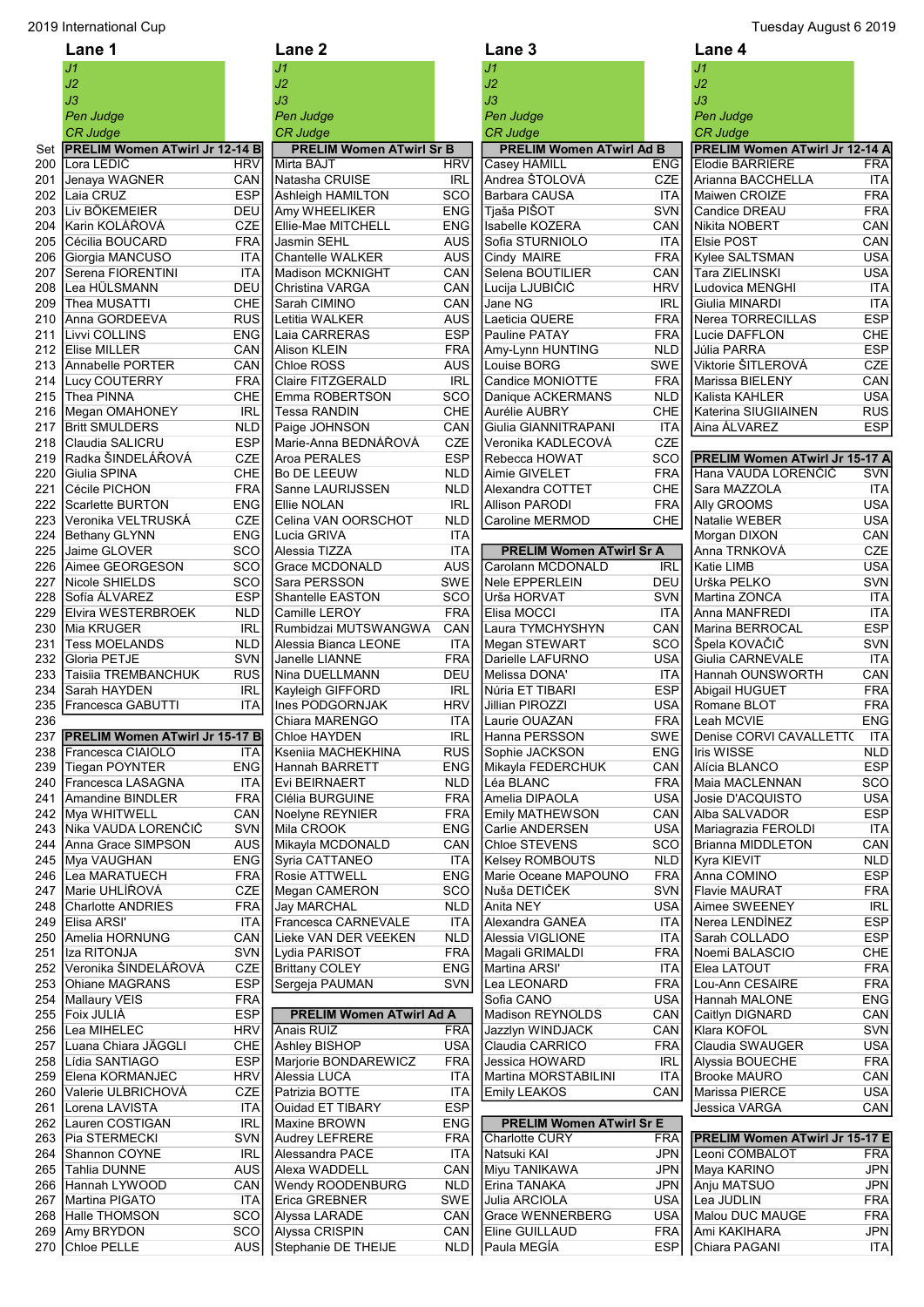|            | Lane 1                                                  |                          | Lane <sub>2</sub>                             |                          | Lane 3                                                 |                          | Lane 4                                                   |                          |
|------------|---------------------------------------------------------|--------------------------|-----------------------------------------------|--------------------------|--------------------------------------------------------|--------------------------|----------------------------------------------------------|--------------------------|
|            | J1                                                      |                          | J1                                            |                          | J1                                                     |                          | J <sub>1</sub>                                           |                          |
|            | J2                                                      |                          | J2                                            |                          | J2                                                     |                          | J2                                                       |                          |
|            | JЗ                                                      |                          | JЗ                                            |                          | J3                                                     |                          | J3                                                       |                          |
|            | Pen Judge                                               |                          | Pen Judge                                     |                          | Pen Judge                                              |                          | Pen Judge                                                |                          |
|            | <b>CR Judge</b>                                         |                          | CR Judge                                      |                          | CR Judge                                               |                          | <b>CR Judge</b>                                          |                          |
| Set<br>200 | <b>PRELIM Women ATwirl Jr 12-14 B</b><br>Lora LEDIĆ     | <b>HRV</b>               | <b>PRELIM Women ATwirl Sr B</b><br>Mirta BAJT | <b>HRV</b>               | <b>PRELIM Women ATwirl Ad B</b><br><b>Casey HAMILL</b> | <b>ENG</b>               | PRELIM Women ATwirl Jr 12-14 A<br><b>Elodie BARRIERE</b> | <b>FRA</b>               |
| 201        | Jenaya WAGNER                                           | CAN                      | Natasha CRUISE                                | <b>IRL</b>               | ∣Andrea ŠTOLOVÁ                                        | CZE                      | Arianna BACCHELLA                                        | ITA                      |
| 202        | Laia CRUZ                                               | <b>ESP</b>               | Ashleigh HAMILTON                             | SCO                      | Barbara CAUSA                                          | ITA                      | Maiwen CROIZE                                            | <b>FRA</b>               |
| 203        | Liv BÖKEMEIER                                           | DEU                      | Amy WHEELIKER                                 | <b>ENG</b>               | Tjaša PIŠOT                                            | SVN                      | Candice DREAU                                            | <b>FRA</b>               |
| 204        | lKarin KOLÁŘOVÁ                                         | <b>CZE</b>               | Ellie-Mae MITCHELL                            | <b>ENG</b>               | <b>Isabelle KOZERA</b>                                 | CAN                      | Nikita NOBERT                                            | CAN                      |
| 205        | Cécilia BOUCARD                                         | <b>FRA</b>               | Jasmin SEHL                                   | AUS                      | Sofia STURNIOLO                                        | ITA                      | Elsie POST                                               | CAN                      |
| 206        | Giorgia MANCUSO                                         | <b>ITA</b>               | <b>Chantelle WALKER</b>                       | <b>AUS</b>               | Cindy MAIRE                                            | <b>FRA</b>               | Kylee SALTSMAN                                           | <b>USA</b>               |
| 207        | Serena FIORENTINI                                       | <b>ITA</b>               | <b>Madison MCKNIGHT</b>                       | CAN                      | Selena BOUTILIER                                       | CAN                      | Tara ZIELINSKI                                           | <b>USA</b>               |
| 208<br>209 | Lea HÜLSMANN<br>Thea MUSATTI                            | DEU<br>CHE               | Christina VARGA<br>Sarah CIMINO               | CAN<br>CAN               | Lucija LJUBIČIĆ<br>Jane NG                             | <b>HRV</b><br><b>IRL</b> | Ludovica MENGHI<br>Giulia MINARDI                        | <b>ITA</b><br><b>ITA</b> |
| 210        | Anna GORDEEVA                                           | <b>RUS</b>               | Letitia WALKER                                | <b>AUS</b>               | Laeticia QUERE                                         | <b>FRA</b>               | Nerea TORRECILLAS                                        | <b>ESP</b>               |
| 211        | Livvi COLLINS                                           | <b>ENG</b>               | Laia CARRERAS                                 | <b>ESP</b>               | Pauline PATAY                                          | <b>FRA</b>               | Lucie DAFFLON                                            | CHE                      |
| 212        | Elise MILLER                                            | CAN                      | Alison KLEIN                                  | <b>FRA</b>               | Amy-Lynn HUNTING                                       | <b>NLD</b>               | Júlia PARRA                                              | <b>ESP</b>               |
| 213        | Annabelle PORTER                                        | CAN                      | Chloe ROSS                                    | <b>AUS</b>               | Louise BORG                                            | <b>SWE</b>               | Viktorie ŠITLEROVÁ                                       | <b>CZE</b>               |
| 214        | Lucy COUTERRY                                           | <b>FRA</b>               | <b>Claire FITZGERALD</b>                      | <b>IRL</b>               | Candice MONIOTTE                                       | <b>FRA</b>               | Marissa BIELENY                                          | CAN                      |
| 215        | Thea PINNA                                              | CHE                      | Emma ROBERTSON                                | SCO                      | Danique ACKERMANS                                      | <b>NLD</b>               | Kalista KAHLER                                           | <b>USA</b>               |
|            | 216 Megan OMAHONEY                                      | <b>IRL</b>               | <b>Tessa RANDIN</b>                           | CHE                      | Aurélie AUBRY                                          | <b>CHE</b>               | Katerina SIUGIIAINEN                                     | <b>RUS</b>               |
| 217        | <b>Britt SMULDERS</b>                                   | <b>NLD</b>               | Paige JOHNSON                                 | CAN                      | Giulia GIANNITRAPANI                                   | <b>ITA</b>               | Aina ÁLVAREZ                                             | <b>ESP</b>               |
| 218<br>219 | Claudia SALICRU<br>Radka ŠINDELÁŘOVÁ                    | <b>ESP</b><br>CZE        | Marie-Anna BEDNÁŘOVÁ<br>Aroa PERALES          | <b>CZE</b><br><b>ESP</b> | Veronika KADLECOVÁ<br>Rebecca HOWAT                    | <b>CZE</b><br><b>SCO</b> | <b>PRELIM Women ATwirl Jr 15-17 A</b>                    |                          |
| 220        | Giulia SPINA                                            | CHE                      | Bo DE LEEUW                                   | <b>NLD</b>               | Aimie GIVELET                                          | <b>FRA</b>               | Hana VAUDA LORENČIČ                                      | <b>SVN</b>               |
| 221        | <b>I</b> Cécile PICHON                                  | <b>FRA</b>               | Sanne LAURIJSSEN                              | <b>NLD</b>               | Alexandra COTTET                                       | CHE                      | Sara MAZZOLA                                             | <b>ITA</b>               |
| 222        | Scarlette BURTON                                        | <b>ENG</b>               | Ellie NOLAN                                   | <b>IRL</b>               | <b>Allison PARODI</b>                                  | <b>FRA</b>               | Ally GROOMS                                              | <b>USA</b>               |
| 223        | Veronika VELTRUSKÁ                                      | CZE                      | Celina VAN OORSCHOT                           | <b>NLD</b>               | Caroline MERMOD                                        | CHE                      | Natalie WEBER                                            | <b>USA</b>               |
| 224        | Bethany GLYNN                                           | <b>ENG</b>               | Lucia GRIVA                                   | <b>ITA</b>               |                                                        |                          | Morgan DIXON                                             | CAN                      |
| 225        | Jaime GLOVER                                            | <b>SCO</b>               | Alessia TIZZA                                 | <b>ITA</b>               | <b>PRELIM Women ATwirl Sr A</b>                        |                          | Anna TRNKOVÁ                                             | <b>CZE</b>               |
| 226        | Aimee GEORGESON                                         | <b>SCO</b>               | <b>Grace MCDONALD</b>                         | AUS                      | Carolann MCDONALD                                      | <b>IRL</b>               | Katie LIMB                                               | <b>USA</b>               |
| 227        | Nicole SHIELDS                                          | SCO<br><b>ESP</b>        | Sara PERSSON                                  | SWE<br>SCO               | Nele EPPERLEIN                                         | DEU                      | Urška PELKO                                              | SVN                      |
| 228<br>229 | Sofía ALVAREZ<br>Elvira WESTERBROEK                     | <b>NLD</b>               | Shantelle EASTON<br>Camille LEROY             | <b>FRA</b>               | Urša HORVAT<br>Elisa MOCCI                             | SVN<br><b>ITA</b>        | Martina ZONCA<br>Anna MANFREDI                           | <b>ITA</b><br><b>ITA</b> |
| 230        | Mia KRUGER                                              | <b>IRL</b>               | Rumbidzai MUTSWANGWA                          | CAN                      | Laura TYMCHYSHYN                                       | CAN                      | Marina BERROCAL                                          | <b>ESP</b>               |
|            | 231 Tess MOELANDS                                       | <b>NLD</b>               | Alessia Bianca LEONE                          | <b>ITA</b>               | Megan STEWART                                          | <b>SCO</b>               | Špela KOVAČIČ                                            | <b>SVN</b>               |
| 232        | Gloria PETJE                                            | <b>SVN</b>               | Janelle LIANNE                                | <b>FRA</b>               | Darielle LAFURNO                                       | <b>USA</b>               | Giulia CARNEVALE                                         | <b>ITA</b>               |
| 233        | Taisiia TREMBANCHUK                                     | <b>RUS</b>               | Nina DUELLMANN                                | DEU                      | Melissa DONA'                                          | ITA                      | Hannah OUNSWORTH                                         | CAN                      |
|            | 234 Sarah HAYDEN                                        | <b>IRL</b>               | Kayleigh GIFFORD                              | <b>IRL</b>               | Núria ET TIBARI                                        | <b>ESP</b>               | Abigail HUGUET                                           | <b>FRA</b>               |
| 235        | Francesca GABUTTI                                       | ITA                      | Ines PODGORNJAK                               | <b>HRV</b>               | Jillian PIROZZI                                        | <b>USA</b>               | Romane BLOT                                              | <b>FRA</b>               |
| 236        |                                                         |                          | Chiara MARENGO                                | <b>ITA</b>               | Laurie OUAZAN                                          | <b>FRA</b>               | Leah MCVIE                                               | <b>ENG</b>               |
| 238        | 237 PRELIM Women ATwirl Jr 15-17 B<br>Francesca CIAIOLO | ITA                      | Chloe HAYDEN<br>Kseniia MACHEKHINA            | <b>IRL</b><br><b>RUS</b> | Hanna PERSSON<br>Sophie JACKSON                        | SWE<br><b>ENG</b>        | Denise CORVI CAVALLETT( ITA<br>Iris WISSE                | <b>NLD</b>               |
| 239        | <b>Tiegan POYNTER</b>                                   | <b>ENG</b>               | Hannah BARRETT                                | <b>ENG</b>               | Mikayla FEDERCHUK                                      | CAN                      | Alícia BLANCO                                            | <b>ESP</b>               |
| 240        | Francesca LASAGNA                                       | <b>ITA</b>               | Evi BEIRNAERT                                 | <b>NLD</b>               | Léa BLANC                                              | <b>FRA</b>               | Maia MACLENNAN                                           | SCO                      |
| 241        | Amandine BINDLER                                        | <b>FRA</b>               | Clélia BURGUINE                               | <b>FRA</b>               | Amelia DIPAOLA                                         | <b>USA</b>               | Josie D'ACQUISTO                                         | <b>USA</b>               |
| 242        | Mya WHITWELL                                            | CAN                      | Noelyne REYNIER                               | <b>FRA</b>               | <b>Emily MATHEWSON</b>                                 | CAN                      | Alba SALVADOR                                            | <b>ESP</b>               |
| 243        | Nika VAUDA LORENČIČ                                     | SVN                      | Mila CROOK                                    | <b>ENG</b>               | Carlie ANDERSEN                                        | <b>USA</b>               | Mariagrazia FEROLDI                                      | <b>ITA</b>               |
| 244        | Anna Grace SIMPSON                                      | <b>AUS</b>               | Mikayla MCDONALD                              | CAN                      | Chloe STEVENS                                          | SCO                      | <b>Brianna MIDDLETON</b>                                 | CAN                      |
| 245        | Mya VAUGHAN                                             | <b>ENG</b>               | Syria CATTANEO                                | <b>ITA</b>               | Kelsey ROMBOUTS                                        | <b>NLD</b>               | Kyra KIEVIT<br>Anna COMINO                               | <b>NLD</b>               |
| 246<br>247 | Lea MARATUECH<br>Marie UHLÍŘOVÁ                         | <b>FRA</b><br>CZE        | Rosie ATTWELL<br>Megan CAMERON                | <b>ENG</b><br>SCO        | Marie Oceane MAPOUNO<br> Nuša DETIČEK                  | <b>FRA</b><br><b>SVN</b> | Flavie MAURAT                                            | <b>ESP</b><br><b>FRA</b> |
| 248        | <b>Charlotte ANDRIES</b>                                | <b>FRA</b>               | <b>Jay MARCHAL</b>                            | <b>NLD</b>               | Anita NEY                                              | <b>USA</b>               | Aimee SWEENEY                                            | <b>IRL</b>               |
| 249        | Elisa ARSI'                                             | <b>ITA</b>               | Francesca CARNEVALE                           | ITA                      | Alexandra GANEA                                        | ITA                      | Nerea LENDINEZ                                           | <b>ESP</b>               |
| 250        | Amelia HORNUNG                                          | CAN                      | Lieke VAN DER VEEKEN                          | <b>NLD</b>               | Alessia VIGLIONE                                       | ITA                      | Sarah COLLADO                                            | <b>ESP</b>               |
| 251        | Iza RITONJA                                             | SVN                      | Lydia PARISOT                                 | <b>FRA</b>               | Magali GRIMALDI                                        | <b>FRA</b>               | Noemi BALASCIO                                           | CHE                      |
| 252        | Veronika ŠINDELÁŘOVÁ                                    | CZE                      | <b>Brittany COLEY</b>                         | <b>ENG</b>               | Martina ARSI'                                          | ITA                      | Elea LATOUT                                              | <b>FRA</b>               |
| 253        | Ohiane MAGRANS                                          | <b>ESP</b>               | Sergeja PAUMAN                                | <b>SVN</b>               | Lea LEONARD                                            | <b>FRA</b>               | Lou-Ann CESAIRE                                          | <b>FRA</b>               |
| 254        | Mallaury VEIS                                           | <b>FRA</b>               |                                               |                          | Sofia CANO                                             | <b>USA</b>               | Hannah MALONE                                            | <b>ENG</b>               |
| 255<br>256 | Foix JULIÀ<br>Lea MIHELEC                               | <b>ESP</b><br><b>HRV</b> | <b>PRELIM Women ATwirl Ad A</b><br>Anais RUIZ | <b>FRA</b>               | Madison REYNOLDS<br>Jazzlyn WINDJACK                   | CAN<br>CAN               | Caitlyn DIGNARD<br>Klara KOFOL                           | CAN<br>SVN               |
| 257        | Luana Chiara JÄGGLI                                     | CHE                      | Ashley BISHOP                                 | <b>USA</b>               | Claudia CARRICO                                        | <b>FRA</b>               | Claudia SWAUGER                                          | <b>USA</b>               |
| 258        | Lídia SANTIAGO                                          | <b>ESP</b>               | Marjorie BONDAREWICZ                          | <b>FRA</b>               | Jessica HOWARD                                         | <b>IRL</b>               | Alyssia BOUECHE                                          | <b>FRA</b>               |
| 259        | Elena KORMANJEC                                         | <b>HRV</b>               | Alessia LUCA                                  | ITA                      | Martina MORSTABILINI                                   | <b>ITA</b>               | Brooke MAURO                                             | CAN                      |
| 260        | Valerie ULBRICHOVA                                      | CZE                      | Patrizia BOTTE                                | ITA                      | <b>Emily LEAKOS</b>                                    | CAN                      | Marissa PIERCE                                           | <b>USA</b>               |
| 261        | Lorena LAVISTA                                          | ITA                      | Ouidad ET TIBARY                              | <b>ESP</b>               |                                                        |                          | Jessica VARGA                                            | CAN                      |
| 262        | Lauren COSTIGAN                                         | <b>IRL</b>               | Maxine BROWN                                  | <b>ENG</b>               | <b>PRELIM Women ATwirl Sr E</b>                        |                          |                                                          |                          |
| 263        | Pia STERMECKI                                           | <b>SVN</b>               | <b>Audrey LEFRERE</b>                         | <b>FRA</b>               | <b>Charlotte CURY</b>                                  | <b>FRA</b>               | PRELIM Women ATwirl Jr 15-17 E                           |                          |
| 264        | Shannon COYNE                                           | <b>IRL</b><br><b>AUS</b> | Alessandra PACE                               | ITA                      | Natsuki KAI                                            | <b>JPN</b><br><b>JPN</b> | Leoni COMBALOT                                           | <b>FRA</b>               |
| 265<br>266 | <b>Tahlia DUNNE</b><br> Hannah LYWOOD                   | CAN                      | Alexa WADDELL<br>Wendy ROODENBURG             | CAN<br><b>NLD</b>        | Miyu TANIKAWA<br>Erina TANAKA                          | <b>JPN</b>               | Maya KARINO<br>Anju MATSUO                               | <b>JPN</b><br><b>JPN</b> |
| 267        | Martina PIGATO                                          | ITA                      | Erica GREBNER                                 | <b>SWE</b>               | Julia ARCIOLA                                          | USA                      | Lea JUDLIN                                               | <b>FRA</b>               |
| 268        | Halle THOMSON                                           | SCO                      | Alyssa LARADE                                 | CAN                      | Grace WENNERBERG                                       | <b>USA</b>               | Malou DUC MAUGE                                          | <b>FRA</b>               |
|            | 269 IAmv BRYDON                                         | <b>SCO</b>               | Alvssa CRISPIN                                | CAN                      | <b>IEline GUILLAUD</b>                                 | <b>FRA</b>               | IAmi KAKIHARA                                            | <b>JPN</b>               |

|            | יי                                                  |                          |                                               |                          |                                                   |                          |                                                          |                          |
|------------|-----------------------------------------------------|--------------------------|-----------------------------------------------|--------------------------|---------------------------------------------------|--------------------------|----------------------------------------------------------|--------------------------|
|            | J1                                                  |                          | J <sub>1</sub>                                |                          | J1                                                |                          | J1                                                       |                          |
|            | J2                                                  |                          | J2                                            |                          | J2                                                |                          | J2                                                       |                          |
|            | JЗ                                                  |                          | J3                                            |                          | J3                                                |                          | J3                                                       |                          |
|            | Pen Judge                                           |                          | Pen Judge                                     |                          | Pen Judge                                         |                          | Pen Judge                                                |                          |
|            | <b>CR Judge</b>                                     |                          | <b>CR Judge</b>                               |                          | <b>CR Judge</b>                                   |                          | <b>CR Judge</b><br><b>PRELIM Women ATwirl Jr 12-14 A</b> |                          |
| Set<br>200 | <b>PRELIM Women ATwirl Jr 12-14 B</b><br>Lora LEDIC | <b>HRV</b>               | <b>PRELIM Women ATwirl Sr B</b><br>Mirta BAJT | <b>HRV</b>               | <b>PRELIM Women ATwirl Ad B</b><br>Casey HAMILL   | <b>ENG</b>               | <b>Elodie BARRIERE</b>                                   | <b>FRA</b>               |
| 201        | Jenaya WAGNER                                       | CAN                      | Natasha CRUISE                                | <b>IRL</b>               | Andrea ŠTOLOVÁ                                    | <b>CZE</b>               | Arianna BACCHELLA                                        | <b>ITA</b>               |
| 202        | Laia CRUZ                                           | <b>ESP</b>               | Ashleigh HAMILTON                             | SCO                      | Barbara CAUSA                                     | ITA                      | <b>Maiwen CROIZE</b>                                     | <b>FRA</b>               |
|            | 203 Liv BÖKEMEIER                                   | DEU                      | Amy WHEELIKER                                 | <b>ENG</b>               | Tjaša PIŠOT                                       | <b>SVN</b>               | Candice DREAU                                            | <b>FRA</b>               |
| 204        | Karin KOLÁŘOVÁ                                      | <b>CZE</b>               | Ellie-Mae MITCHELL                            | <b>ENG</b>               | Isabelle KOZERA                                   | CAN                      | Nikita NOBERT                                            | CAN                      |
| 205        | Cécilia BOUCARD                                     | <b>FRA</b>               | Jasmin SEHL                                   | AUS                      | Sofia STURNIOLO                                   | ITA                      | Elsie POST                                               | CAN                      |
| 206        | Giorgia MANCUSO                                     | ITA                      | <b>Chantelle WALKER</b>                       | <b>AUS</b>               | Cindy MAIRE                                       | <b>FRA</b>               | Kylee SALTSMAN                                           | <b>USA</b>               |
| 207        | Serena FIORENTINI                                   | ITA                      | Madison MCKNIGHT                              | CAN                      | Selena BOUTILIER                                  | CAN                      | Tara ZIELINSKI                                           | <b>USA</b>               |
| 208        | Lea HÜLSMANN                                        | DEU                      | Christina VARGA                               | CAN                      | Lucija LJUBIČIĆ                                   | <b>HRV</b>               | Ludovica MENGHI                                          | <b>ITA</b>               |
| 209        | Thea MUSATTI                                        | CHE                      | Sarah CIMINO                                  | CAN                      | Jane NG                                           | <b>IRL</b>               | Giulia MINARDI                                           | <b>ITA</b>               |
| 210        | Anna GORDEEVA                                       | <b>RUS</b>               | Letitia WALKER                                | <b>AUS</b>               | Laeticia QUERE                                    | <b>FRA</b>               | Nerea TORRECILLAS                                        | <b>ESP</b>               |
| 211        | Livvi COLLINS                                       | <b>ENG</b>               | Laia CARRERAS                                 | <b>ESP</b>               | <b>Pauline PATAY</b>                              | <b>FRA</b>               | Lucie DAFFLON                                            | CHE                      |
|            | 212 Elise MILLER                                    | CAN                      | Alison KLEIN                                  | <b>FRA</b>               | Amy-Lynn HUNTING                                  | <b>NLD</b>               | Júlia PARRA                                              | <b>ESP</b>               |
| 213<br>214 | Annabelle PORTER<br><b>Lucy COUTERRY</b>            | CAN<br><b>FRA</b>        | Chloe ROSS<br><b>Claire FITZGERALD</b>        | <b>AUS</b><br><b>IRL</b> | Louise BORG<br><b>Candice MONIOTTE</b>            | <b>SWE</b><br><b>FRA</b> | Viktorie ŠITLEROVÁ<br>Marissa BIELENY                    | <b>CZE</b>               |
| 215        | Thea PINNA                                          | CHE                      | Emma ROBERTSON                                | SCO                      | Danique ACKERMANS                                 | <b>NLD</b>               | Kalista KAHLER                                           | CAN<br><b>USA</b>        |
| 216        | Megan OMAHONEY                                      | <b>IRL</b>               | <b>Tessa RANDIN</b>                           | <b>CHE</b>               | Aurélie AUBRY                                     | CHE                      | Katerina SIUGIIAINEN                                     | <b>RUS</b>               |
| 217        | <b>Britt SMULDERS</b>                               | <b>NLD</b>               | Paige JOHNSON                                 | CAN                      | Giulia GIANNITRAPANI                              | <b>ITA</b>               | Aina ÁLVAREZ                                             | <b>ESP</b>               |
| 218        | Claudia SALICRU                                     | <b>ESP</b>               | Marie-Anna BEDNÁŘOVÁ                          | <b>CZE</b>               | Veronika KADLECOVÁ                                | CZE                      |                                                          |                          |
| 219        | lRadka ŠINDELÁŘOVÁ                                  | <b>CZE</b>               | Aroa PERALES                                  | <b>ESP</b>               | Rebecca HOWAT                                     | SCO                      | <b>PRELIM Women ATwirl Jr 15-17 A</b>                    |                          |
| 220        | Giulia SPINA                                        | CHE                      | <b>Bo DE LEEUW</b>                            | <b>NLD</b>               | Aimie GIVELET                                     | <b>FRA</b>               | Hana VAUDA LORENČIČ                                      | <b>SVN</b>               |
| 221        | Cécile PICHON                                       | <b>FRA</b>               | Sanne LAURIJSSEN                              | <b>NLD</b>               | Alexandra COTTET                                  | CHE                      | Sara MAZZOLA                                             | <b>ITA</b>               |
| 222        | <b>Scarlette BURTON</b>                             | <b>ENG</b>               | Ellie NOLAN                                   | <b>IRL</b>               | <b>Allison PARODI</b>                             | <b>FRA</b>               | <b>Ally GROOMS</b>                                       | <b>USA</b>               |
| 223        | Veronika VELTRUSKA                                  | <b>CZE</b>               | Celina VAN OORSCHOT                           | <b>NLD</b>               | Caroline MERMOD                                   | CHE                      | Natalie WEBER                                            | <b>USA</b>               |
| 224        | Bethany GLYNN                                       | <b>ENG</b>               | Lucia GRIVA                                   | <b>ITA</b>               |                                                   |                          | Morgan DIXON                                             | CAN                      |
| 225        | Jaime GLOVER                                        | SCO                      | Alessia TIZZA                                 | <b>ITA</b>               | <b>PRELIM Women ATwirl Sr A</b>                   |                          | Anna TRNKOVÁ                                             | <b>CZE</b>               |
| 226        | Aimee GEORGESON                                     | SCO                      | <b>Grace MCDONALD</b>                         | <b>AUS</b>               | Carolann MCDONALD                                 | <b>IRL</b>               | <b>Katie LIMB</b>                                        | <b>USA</b>               |
| 227        | Nicole SHIELDS                                      | SCO                      | Sara PERSSON                                  | <b>SWE</b>               | Nele EPPERLEIN                                    | <b>DEU</b>               | Urška PELKO                                              | SVN                      |
| 228        | Sofía ALVAREZ                                       | <b>ESP</b>               | Shantelle EASTON                              | SCO                      | Urša HORVAT                                       | <b>SVN</b>               | Martina ZONCA                                            | <b>ITA</b>               |
| 229<br>230 | <b>Elvira WESTERBROEK</b><br>Mia KRUGER             | NLD<br><b>IRL</b>        | Camille LEROY<br>Rumbidzai MUTSWANGWA         | <b>FRA</b><br>CAN        | Elisa MOCCI<br>Laura TYMCHYSHYN                   | <b>ITA</b><br>CAN        | Anna MANFREDI<br>Marina BERROCAL                         | <b>ITA</b><br><b>ESP</b> |
| 231        | <b>Tess MOELANDS</b>                                | <b>NLD</b>               | Alessia Bianca LEONE                          | <b>ITA</b>               | Megan STEWART                                     | SCO                      | Špela KOVAČIČ                                            | <b>SVN</b>               |
| 232        | Gloria PETJE                                        | SVN                      | Janelle LIANNE                                | <b>FRA</b>               | Darielle LAFURNO                                  | <b>USA</b>               | <b>Giulia CARNEVALE</b>                                  | <b>ITA</b>               |
| 233        | <b>Taisiia TREMBANCHUK</b>                          | <b>RUS</b>               | Nina DUELLMANN                                | DEU                      | Melissa DONA'                                     | ITA                      | Hannah OUNSWORTH                                         | CAN                      |
| 234        | Sarah HAYDEN                                        | <b>IRL</b>               | Kayleigh GIFFORD                              | <b>IRL</b>               | Núria ET TIBARI                                   | <b>ESP</b>               | Abigail HUGUET                                           | <b>FRA</b>               |
| 235        | Francesca GABUTTI                                   | <b>ITA</b>               | Ines PODGORNJAK                               | <b>HRV</b>               | Jillian PIROZZI                                   | <b>USA</b>               | Romane BLOT                                              | <b>FRA</b>               |
| 236        |                                                     |                          | Chiara MARENGO                                | <b>ITA</b>               | Laurie OUAZAN                                     | <b>FRA</b>               | Leah MCVIE                                               | <b>ENG</b>               |
| 237        | <b>PRELIM Women ATwirl Jr 15-17 B</b>               |                          | Chloe HAYDEN                                  | <b>IRL</b>               | Hanna PERSSON                                     | <b>SWE</b>               | Denise CORVI CAVALLETT(                                  | <b>ITA</b>               |
| 238        | ∣Francesca CIAIOLO                                  | 11 A                     | Kseniia MACHEKHINA                            | <b>RUS</b>               | Sophie JACKSON                                    | ENG                      | Iris WISSE                                               | <b>NLD</b>               |
| 239        | <b>Tiegan POYNTER</b>                               | <b>ENG</b>               | Hannah BARRETT                                | <b>ENG</b>               | Mikayla FEDERCHUK                                 | CAN                      | Alícia BLANCO                                            | <b>ESP</b>               |
| 240        | Francesca LASAGNA                                   | ITA                      | Evi BEIRNAERT                                 | <b>NLD</b>               | Léa BLANC                                         | <b>FRA</b>               | Maia MACLENNAN                                           | SCO                      |
| 241        | Amandine BINDLER                                    | <b>FRA</b>               | Clélia BURGUINE                               | <b>FRA</b>               | Amelia DIPAOLA                                    | <b>USA</b>               | Josie D'ACQUISTO                                         | <b>USA</b>               |
| 242        | Mya WHITWELL                                        | CAN                      | Noelyne REYNIER                               | <b>FRA</b>               | <b>Emily MATHEWSON</b>                            | CAN                      | Alba SALVADOR                                            | <b>ESP</b>               |
| 243        | Nika VAUDA LORENČIČ                                 | <b>SVN</b>               | Mila CROOK                                    | <b>ENG</b>               | Carlie ANDERSEN                                   | <b>USA</b>               | Mariagrazia FEROLDI                                      | <b>ITA</b>               |
| 244        | Anna Grace SIMPSON                                  | <b>AUS</b>               | Mikayla MCDONALD                              | CAN                      | <b>Chloe STEVENS</b>                              | SCO                      | Brianna MIDDLETON                                        | CAN                      |
| 245        | Mya VAUGHAN                                         | <b>ENG</b><br><b>FRA</b> | Syria CATTANEO                                | ITA<br><b>ENG</b>        | <b>Kelsey ROMBOUTS</b><br>Marie Oceane MAPOUNO    | <b>NLD</b><br><b>FRA</b> | Kyra KIEVIT                                              | <b>NLD</b><br><b>ESP</b> |
| 246<br>247 | Lea MARATUECH<br>Marie UHLÍŘOVÁ                     | CZE                      | <b>Rosie ATTWELL</b><br>Megan CAMERON         | SCO                      | Nuša DETIČEK                                      | <b>SVN</b>               | Anna COMINO<br><b>Flavie MAURAT</b>                      | <b>FRA</b>               |
| 248        | <b>Charlotte ANDRIES</b>                            | <b>FRA</b>               | Jay MARCHAL                                   | <b>NLD</b>               | Anita NEY                                         | <b>USA</b>               | Aimee SWEENEY                                            | <b>IRL</b>               |
| 249        | Elisa ARSI'                                         | ITA                      | Francesca CARNEVALE                           | ITA                      | Alexandra GANEA                                   | ITA                      | Nerea LENDINEZ                                           | <b>ESP</b>               |
| 250        | Amelia HORNUNG                                      | CAN                      | Lieke VAN DER VEEKEN                          | <b>NLD</b>               | Alessia VIGLIONE                                  | ITA                      | Sarah COLLADO                                            | <b>ESP</b>               |
| 251        | Iza RITONJA                                         | <b>SVN</b>               | Lydia PARISOT                                 | <b>FRA</b>               | Magali GRIMALDI                                   | <b>FRA</b>               | Noemi BALASCIO                                           | CHE                      |
| 252        | Veronika ŠINDELÁŘOVÁ                                | CZE                      | <b>Brittany COLEY</b>                         | ENG                      | Martina ARSI'                                     | ITA                      | Elea LATOUT                                              | <b>FRA</b>               |
| 253        | <b>Ohiane MAGRANS</b>                               | <b>ESP</b>               | Sergeja PAUMAN                                | <b>SVN</b>               | Lea LEONARD                                       | <b>FRA</b>               | Lou-Ann CESAIRE                                          | <b>FRA</b>               |
| 254        | Mallaury VEIS                                       | <b>FRA</b>               |                                               |                          | Sofia CANO                                        | <b>USA</b>               | Hannah MALONE                                            | <b>ENG</b>               |
| 255        | Foix JULIÀ                                          | ESP                      | <b>PRELIM Women ATwirl Ad A</b>               |                          | Madison REYNOLDS                                  | CAN                      | Caitlyn DIGNARD                                          | CAN                      |
| 256        | Lea MIHELEC                                         | <b>HRV</b>               | Anais RUIZ                                    | <b>FRA</b>               | Jazzlyn WINDJACK                                  | CAN                      | Klara KOFOL                                              | <b>SVN</b>               |
| 257        | Luana Chiara JÄGGLI                                 | CHE                      | Ashley BISHOP                                 | <b>USA</b>               | Claudia CARRICO                                   | <b>FRA</b>               | Claudia SWAUGER                                          | <b>USA</b>               |
| 258        | Lídia SANTIAGO                                      | <b>ESP</b>               | Marjorie BONDAREWICZ                          | <b>FRA</b>               | Jessica HOWARD                                    | IRL                      | Alyssia BOUECHE                                          | <b>FRA</b>               |
| 259        | Elena KORMANJEC                                     | <b>HRV</b>               | Alessia LUCA                                  | ITA                      | Martina MORSTABILINI                              | ITA                      | <b>Brooke MAURO</b>                                      | CAN                      |
| 260        | Valerie ULBRICHOVÁ                                  | CZE                      | Patrizia BOTTE                                | <b>ITA</b>               | <b>Emily LEAKOS</b>                               | <b>CAN</b>               | Marissa PIERCE                                           | <b>USA</b>               |
| 261        | Lorena LAVISTA                                      | ITA                      | Ouidad ET TIBARY                              | <b>ESP</b>               |                                                   |                          | Jessica VARGA                                            | CAN                      |
| 262<br>263 | Lauren COSTIGAN<br>Pia STERMECKI                    | <b>IRL</b><br><b>SVN</b> | Maxine BROWN<br><b>Audrey LEFRERE</b>         | <b>ENG</b><br><b>FRA</b> | <b>PRELIM Women ATwirl Sr E</b><br>Charlotte CURY | <b>FRA</b>               | <b>PRELIM Women ATwirl Jr 15-17 E</b>                    |                          |
| 264        | Shannon COYNE                                       | IRL                      | Alessandra PACE                               | ITA                      | Natsuki KAI                                       | JPN                      | Leoni COMBALOT                                           | FRA                      |
| 265        | Tahlia DUNNE                                        | <b>AUS</b>               | Alexa WADDELL                                 | CAN                      | Miyu TANIKAWA                                     | <b>JPN</b>               | Maya KARINO                                              | <b>JPN</b>               |
| 266        | Hannah LYWOOD                                       | CAN                      | Wendy ROODENBURG                              | <b>NLD</b>               | Erina TANAKA                                      | <b>JPN</b>               | Anju MATSUO                                              | <b>JPN</b>               |
| 267        | Martina PIGATO                                      | ITA                      | Erica GREBNER                                 | SWE                      | Julia ARCIOLA                                     | <b>USA</b>               | Lea JUDLIN                                               | <b>FRA</b>               |
| 268        | Halle THOMSON                                       | SCO                      | Alyssa LARADE                                 | CAN                      | Grace WENNERBERG                                  | <b>USA</b>               | Malou DUC MAUGE                                          | <b>FRA</b>               |
| 269        | Amy BRYDON                                          | sco                      | Alyssa CRISPIN                                | CAN                      | Eline GUILLAUD                                    | <b>FRA</b>               | Ami KAKIHARA                                             | <b>JPN</b>               |
| 270        | Chloe PELLE                                         | AUS                      | Stephanie DE THEIJE                           | <b>NLD</b>               | Paula MEGİA                                       | <b>ESP</b>               | Chiara PAGANI                                            | ITA                      |

# Andrea ŠTOLOVÁ CZE Arian Barbara CAUSA ITA | Maiw Isabelle KOZERA CAN Nikita Sofia STURNIOLO ITA | Elsie 207 Selena BOUTILIER CAN Tara CAN<br>Lucija LJUBIČIĆ HRV Ludo Amy-Lynn HUNTING NLD Júlia Candice MONIOTTE FRA Maris Danique ACKERMANS NLD Kalist Giulia GIANNITRAPANI ITA Aina Veronika KADLECOVÁ CZE Rebecca HOWAT SCO Caroline MERMOD CHE Natal Carolann MCDONALD IRL Katie Nele EPPERLEIN DEU Urška Laura TYMCHYSHYN CAN Marin 231 Megan STEWART SCO Špela<br>Darielle LAFURNO USA Giulia Hanna PERSSON SWE Denis Sophie JACKSON ENG Iris W Mikayla FEDERCHUK CAN Alícia Emily MATHEWSON CAN Alba SALVADOR ESP<br>Carlie ANDERSEN USA Mariagrazia FEROLDI ITA Chloe STEVENS SCO Brianna MIDDLETON CAN 245 KOMBOUTS NED Kyra KIEVIT NED NED Karie Oceane MAPOUNO FRA Anna COMINO Marie Oceane MAPOUNO Nuša DETIČEK SVN Flavie MAURAT FRA Anita NEY **Charlotte ANDRIES FRA JAY MARCHAL NEW ANDRIES FRA 1999** IRL Alexandra GANEA **ITA | Nerea LENDÍNEZ** ESP 250 Amelia HORNUNG CAN Lieke VAN DER VEEKEN NLD Alessia VIGLIONE ITA Sarah COLLADO ESP Magali GRIMALDI FRA | Noemi BALASCIO CHE Lea LEONARD FRAILLou-Ann CESAIRE FRA **254 Sofia CANO CANO CONSTRUSION CONSTRUSION CONSTRUCTS** Madison REYNOLDS CAN Caitlyn DIGNARD CAN **Jazzlyn WINDJACK CAN Klara KOFOL SVN**<br>Claudia CARRICO FRA Claudia SWAUGER USA 258 Lídia SANTIAGO ESP Marjorie BONDAREWICZ FRA Jessica HOWARD IRL Alyssia BOUECHE FRA Martina MORSTABILINI ITA Brooke MAURO CAN **260 Emily LEAKOS CAN Marissa PIERCE** USA Charlotte CURY FRA PRELIM Women ATwirl Ad B PRELIM Women ATwirl Sr E

| l uesday August 6 2019                       |            |  |
|----------------------------------------------|------------|--|
| e 4                                          |            |  |
|                                              |            |  |
|                                              |            |  |
|                                              |            |  |
| ludge                                        |            |  |
| udge<br>IM Women ATwirl Jr 12-14 A           |            |  |
| <b>BARRIERE</b>                              | <b>FRA</b> |  |
| na BACCHELLA                                 | <b>ITA</b> |  |
| en CROIZE                                    | <b>FRA</b> |  |
| ice DREAU                                    | <b>FRA</b> |  |
| NOBERT                                       | CAN        |  |
| <b>POST</b>                                  | CAN        |  |
| SALTSMAN                                     | <b>USA</b> |  |
| ZIELINSKI                                    | USA        |  |
| vica MENGHI                                  | <b>ITA</b> |  |
| ı MINARDI                                    | <b>ITA</b> |  |
| a TORRECILLAS                                | <b>ESP</b> |  |
| <b>DAFFLON</b>                               | CHE        |  |
| PARRA                                        | <b>ESP</b> |  |
| ie ŠITLEROVÁ                                 | CZE        |  |
| sa BIELENY                                   | CAN        |  |
| a KAHLER                                     | USA        |  |
| ina SIUGIIAINEN                              | <b>RUS</b> |  |
| ÁLVAREZ                                      | <b>ESP</b> |  |
|                                              |            |  |
| IM Women ATwirl Jr 15-17 A<br>VAUDA LORENČIČ | <b>SVN</b> |  |
| <b>MAZZOLA</b>                               | ITA        |  |
| <b>ROOMS</b>                                 | USA        |  |
| ie WEBER                                     | <b>USA</b> |  |
| an DIXON                                     | CAN        |  |
| <b>TRNKOVÁ</b>                               | <b>CZE</b> |  |
| <b>LIMB</b>                                  | USA        |  |
| I PELKO                                      | <b>SVN</b> |  |
| าa ZONCA                                     | ITA        |  |
| <b>MANFREDI</b>                              | <b>ITA</b> |  |
| a BERROCAL                                   | <b>ESP</b> |  |
| ı KOVAČIČ                                    | <b>SVN</b> |  |
| <b>CARNEVALE</b>                             | <b>ITA</b> |  |
| ah OUNSWORTH                                 | CAN        |  |
| iil HUGUET                                   | <b>FRA</b> |  |
| ane BLOT                                     | <b>FRA</b> |  |
| <b>MCVIE</b>                                 | <b>ENG</b> |  |
| e CORVI CAVALLETT(                           | ITA        |  |
| <b>ISSE</b>                                  | <b>NLD</b> |  |
| <b>BLANCO</b>                                | <b>ESP</b> |  |
| <b>MACLENNAN</b>                             | sco        |  |
| D'ACQUISTO                                   | USA        |  |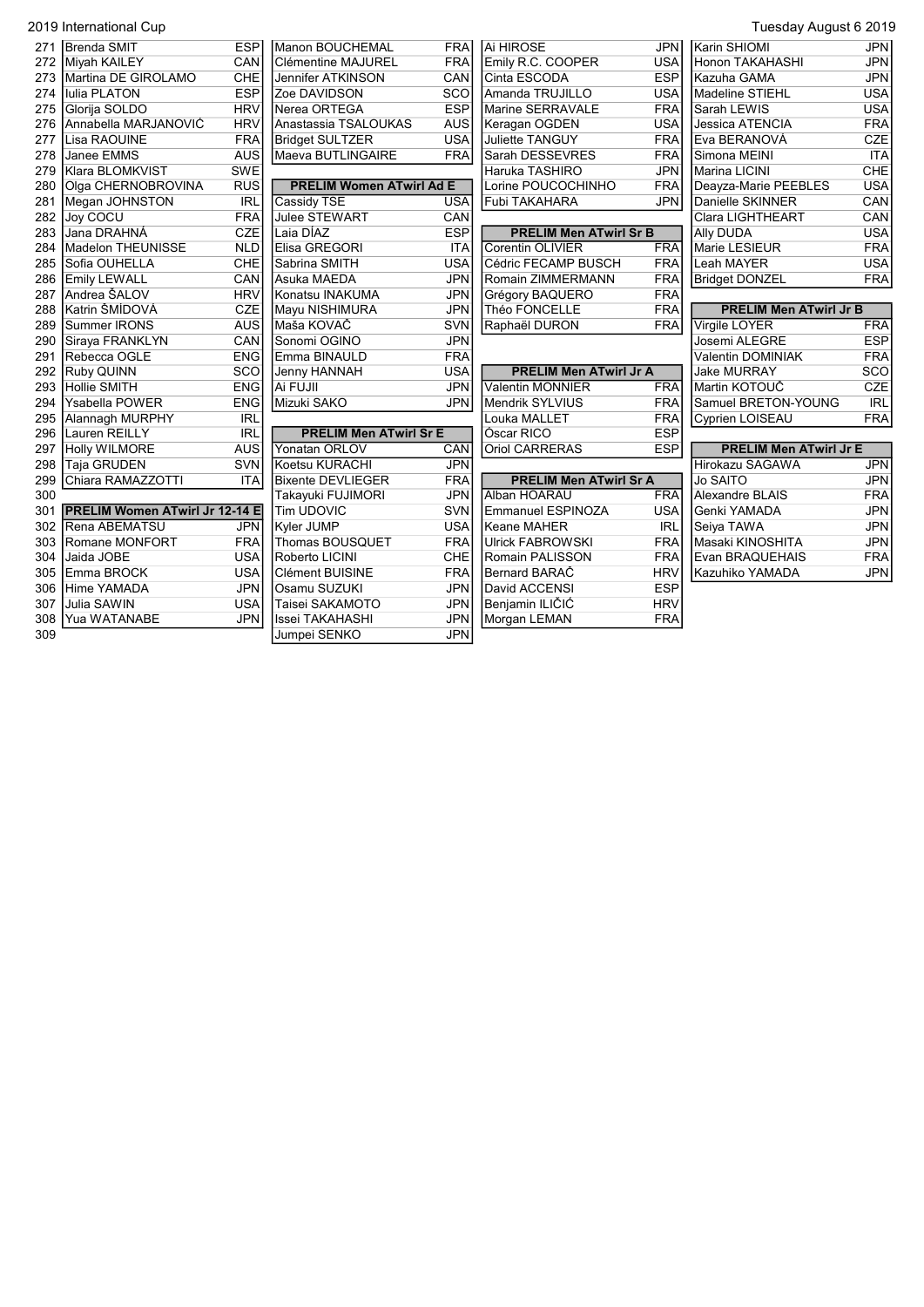|     | 2019 International Cup                |            |                                 |            |                               |            | Tuesday August 6 2019         |            |
|-----|---------------------------------------|------------|---------------------------------|------------|-------------------------------|------------|-------------------------------|------------|
| 271 | <b>Brenda SMIT</b>                    | <b>ESP</b> | Manon BOUCHEMAL                 | <b>FRA</b> | lai HIROSE                    | <b>JPN</b> | Karin SHIOMI                  | JPN        |
| 272 | Miyah KAILEY                          | CAN        | <b>IClémentine MAJUREL</b>      | <b>FRA</b> | Emily R.C. COOPER             | <b>USA</b> | Honon TAKAHASHI               | <b>JPN</b> |
| 273 | Martina DE GIROLAMO                   | CHE        | Jennifer ATKINSON               | CAN        | <b>I</b> Cinta ESCODA         | <b>ESP</b> | Kazuha GAMA                   | <b>JPN</b> |
| 274 | <b>Iulia PLATON</b>                   | <b>ESP</b> | Zoe DAVIDSON                    | SCO        | Amanda TRUJILLO               | <b>USA</b> | Madeline STIEHL               | <b>USA</b> |
| 275 | Glorija SOLDO                         | <b>HRV</b> | Nerea ORTEGA                    | <b>ESP</b> | Marine SERRAVALE              | <b>FRA</b> | Sarah LEWIS                   | <b>USA</b> |
| 276 | Annabella MARJANOVIĆ                  | <b>HRV</b> | Anastassia TSALOUKAS            | <b>AUS</b> | Keragan OGDEN                 | <b>USA</b> | Jessica ATENCIA               | <b>FRA</b> |
| 277 | <b>I</b> Lisa RAOUINE                 | <b>FRA</b> | <b>Bridget SULTZER</b>          | <b>USA</b> | Juliette TANGUY               | <b>FRA</b> | IEva BERANOVÁ                 | <b>CZE</b> |
| 278 | Janee EMMS                            | <b>AUS</b> | Maeva BUTLINGAIRE               | <b>FRA</b> | Sarah DESSEVRES               | <b>FRA</b> | İSimona MEINI                 | <b>ITA</b> |
| 279 | Klara BLOMKVIST                       | <b>SWE</b> |                                 |            | Haruka TASHIRO                | <b>JPN</b> | Marina LICINI                 | CHE        |
| 280 | Olga CHERNOBROVINA                    | <b>RUS</b> | <b>PRELIM Women ATwirl Ad E</b> |            | Lorine POUCOCHINHO            | <b>FRA</b> | Deayza-Marie PEEBLES          | <b>USA</b> |
| 281 | Megan JOHNSTON                        | <b>IRL</b> | Cassidy TSE                     | <b>USA</b> | Fubi TAKAHARA                 | <b>JPN</b> | Danielle SKINNER              | CAN        |
| 282 | Joy COCU                              | <b>FRA</b> | <b>Julee STEWART</b>            | CAN        |                               |            | <b>Clara LIGHTHEART</b>       | CAN        |
| 283 | Jana DRAHNÁ                           | <b>CZE</b> | Laia DÍAZ                       | <b>ESP</b> | <b>PRELIM Men ATwirl Sr B</b> |            | <b>Ally DUDA</b>              | <b>USA</b> |
| 284 | Madelon THEUNISSE                     | <b>NLD</b> | Elisa GREGORI                   | <b>ITA</b> | <b>Corentin OLIVIER</b>       | <b>FRA</b> | Marie LESIEUR                 | <b>FRA</b> |
| 285 | ISofia OUHELLA                        | CHE        | Sabrina SMITH                   | <b>USA</b> | Cédric FECAMP BUSCH           | <b>FRA</b> | Leah MAYER                    | <b>USA</b> |
| 286 | <b>Emily LEWALL</b>                   | CAN        | Asuka MAEDA                     | <b>JPN</b> | Romain ZIMMERMANN             | <b>FRA</b> | <b>Bridget DONZEL</b>         | <b>FRA</b> |
| 287 | Andrea ŠALOV                          | <b>HRV</b> | Konatsu INAKUMA                 | <b>JPN</b> | Grégory BAQUERO               | <b>FRA</b> |                               |            |
| 288 | Katrin ŠMÍDOVÁ                        | <b>CZE</b> | Mayu NISHIMURA                  | <b>JPN</b> | Théo FONCELLE                 | <b>FRA</b> | <b>PRELIM Men ATwirl Jr B</b> |            |
| 289 | Summer IRONS                          | <b>AUS</b> | lMaša KOVAČ                     | SVN        | Raphaël DURON                 | <b>FRA</b> | Virgile LOYER                 | <b>FRA</b> |
| 290 | Siraya FRANKLYN                       | CAN        | Sonomi OGINO                    | <b>JPN</b> |                               |            | Josemi ALEGRE                 | <b>ESP</b> |
| 291 | Rebecca OGLE                          | <b>ENG</b> | Emma BINAULD                    | <b>FRA</b> |                               |            | Valentin DOMINIAK             | <b>FRA</b> |
| 292 | Ruby QUINN                            | SCO        | Jenny HANNAH                    | <b>USA</b> | <b>PRELIM Men ATwirl Jr A</b> |            | <b>Jake MURRAY</b>            | SCO        |
| 293 | Hollie SMITH                          | <b>ENG</b> | Ai FUJII                        | <b>JPN</b> | <b>Valentin MONNIER</b>       | <b>FRA</b> | Martin KOTOUČ                 | <b>CZE</b> |
| 294 | <b>Ysabella POWER</b>                 | <b>ENG</b> | Mizuki SAKO                     | <b>JPN</b> | Mendrik SYLVIUS               | <b>FRA</b> | Samuel BRETON-YOUNG           | <b>IRL</b> |
| 295 | <b>Alannagh MURPHY</b>                | <b>IRL</b> |                                 |            | Louka MALLET                  | <b>FRA</b> | Cyprien LOISEAU               | <b>FRA</b> |
| 296 | Lauren REILLY                         | <b>IRL</b> | <b>PRELIM Men ATwirl Sr E</b>   |            | Óscar RICO                    | <b>ESP</b> |                               |            |
| 297 | <b>Holly WILMORE</b>                  | <b>AUS</b> | Yonatan ORLOV                   | CAN        | <b>Oriol CARRERAS</b>         | <b>ESP</b> | <b>PRELIM Men ATwirl Jr E</b> |            |
| 298 | Taja GRUDEN                           | SVN        | Koetsu KURACHI                  | <b>JPN</b> |                               |            | <b>Hirokazu SAGAWA</b>        | <b>JPN</b> |
| 299 | Chiara RAMAZZOTTI                     | <b>ITA</b> | <b>Bixente DEVLIEGER</b>        | <b>FRA</b> | <b>PRELIM Men ATwirl Sr A</b> |            | <b>Jo SAITO</b>               | <b>JPN</b> |
| 300 |                                       |            | Takayuki FUJIMORI               | <b>JPN</b> | Alban HOARAU                  | <b>FRA</b> | Alexandre BLAIS               | <b>FRA</b> |
| 301 | <b>PRELIM Women ATwirl Jr 12-14 E</b> |            | <b>Tim UDOVIC</b>               | SVN        | Emmanuel ESPINOZA             | <b>USA</b> | Genki YAMADA                  | <b>JPN</b> |
| 302 | Rena ABEMATSU                         | JPN        | Kyler JUMP                      | <b>USA</b> | lKeane MAHER                  | <b>IRL</b> | Seiya TAWA                    | <b>JPN</b> |
| 303 | Romane MONFORT                        | <b>FRA</b> | <b>Thomas BOUSQUET</b>          | <b>FRA</b> | <b>Ulrick FABROWSKI</b>       | <b>FRA</b> | İMasaki KINOSHITA             | <b>JPN</b> |
| 304 | Jaida JOBE                            | <b>USA</b> | Roberto LICINI                  | CHE        | Romain PALISSON               | <b>FRA</b> | <b>Evan BRAQUEHAIS</b>        | <b>FRA</b> |
| 305 | Emma BROCK                            | <b>USA</b> | <b>Clément BUISINE</b>          | <b>FRA</b> | Bernard BARAČ                 | <b>HRV</b> | Kazuhiko YAMADA               | <b>JPN</b> |
| 306 | Hime YAMADA                           | <b>JPN</b> | Osamu SUZUKI                    | <b>JPN</b> | David ACCENSI                 | <b>ESP</b> |                               |            |
| 307 | Julia SAWIN                           | <b>USA</b> | Taisei SAKAMOTO                 | <b>JPN</b> | ∣Benjamin ILIČIĆ              | <b>HRV</b> |                               |            |
| 308 | Yua WATANABE                          | <b>JPN</b> | Issei TAKAHASHI                 | <b>JPN</b> | Morgan LEMAN                  | <b>FRA</b> |                               |            |
| 309 |                                       |            | Jumpei SENKO                    | <b>JPN</b> |                               |            |                               |            |